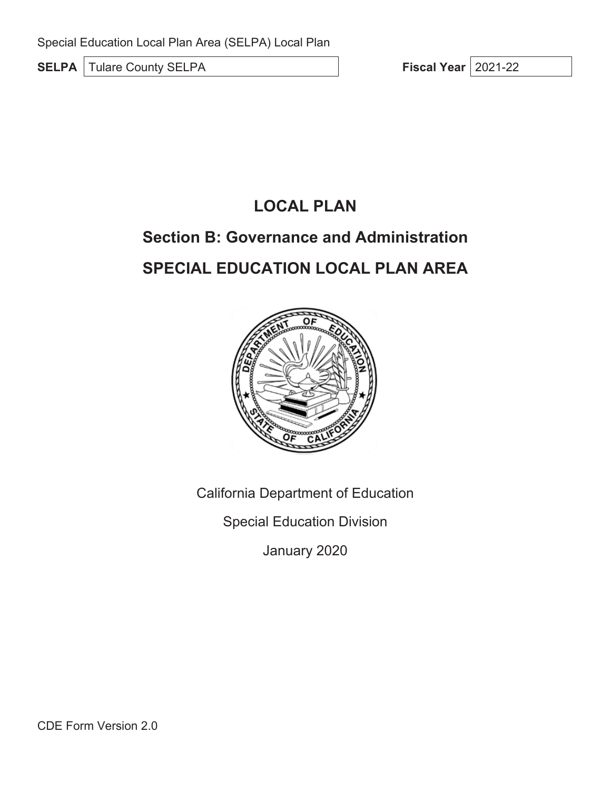# **LOCAL PLAN**

# **Section B: Governance and Administration SPECIAL EDUCATION LOCAL PLAN AREA**



California Department of Education

Special Education Division

January 2020

CDE Form Version 2.0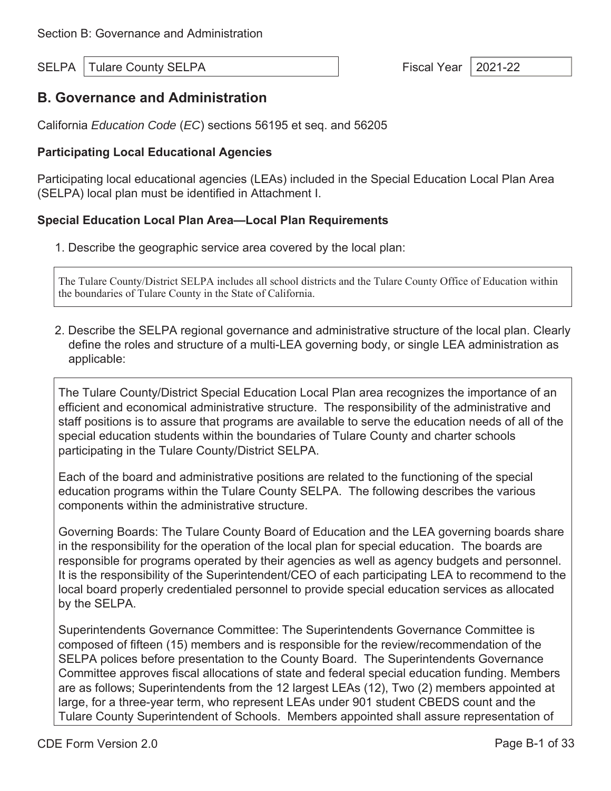SELPA | Tulare County SELPA  $\vert$  Fiscal Year | 2021-22

# **B. Governance and Administration**

California *Education Code* (*EC*) sections 56195 et seq. and 56205

### **Participating Local Educational Agencies**

Participating local educational agencies (LEAs) included in the Special Education Local Plan Area (SELPA) local plan must be identified in Attachment I.

### **Special Education Local Plan Area—Local Plan Requirements**

1. Describe the geographic service area covered by the local plan:

The Tulare County/District SELPA includes all school districts and the Tulare County Office of Education within the boundaries of Tulare County in the State of California.

2. Describe the SELPA regional governance and administrative structure of the local plan. Clearly define the roles and structure of a multi-LEA governing body, or single LEA administration as applicable:

The Tulare County/District Special Education Local Plan area recognizes the importance of an efficient and economical administrative structure. The responsibility of the administrative and staff positions is to assure that programs are available to serve the education needs of all of the special education students within the boundaries of Tulare County and charter schools participating in the Tulare County/District SELPA.

Each of the board and administrative positions are related to the functioning of the special education programs within the Tulare County SELPA. The following describes the various components within the administrative structure.

Governing Boards: The Tulare County Board of Education and the LEA governing boards share in the responsibility for the operation of the local plan for special education. The boards are responsible for programs operated by their agencies as well as agency budgets and personnel. It is the responsibility of the Superintendent/CEO of each participating LEA to recommend to the local board properly credentialed personnel to provide special education services as allocated by the SELPA.

Superintendents Governance Committee: The Superintendents Governance Committee is composed of fifteen (15) members and is responsible for the review/recommendation of the SELPA polices before presentation to the County Board. The Superintendents Governance Committee approves fiscal allocations of state and federal special education funding. Members are as follows; Superintendents from the 12 largest LEAs (12), Two (2) members appointed at large, for a three-year term, who represent LEAs under 901 student CBEDS count and the Tulare County Superintendent of Schools. Members appointed shall assure representation of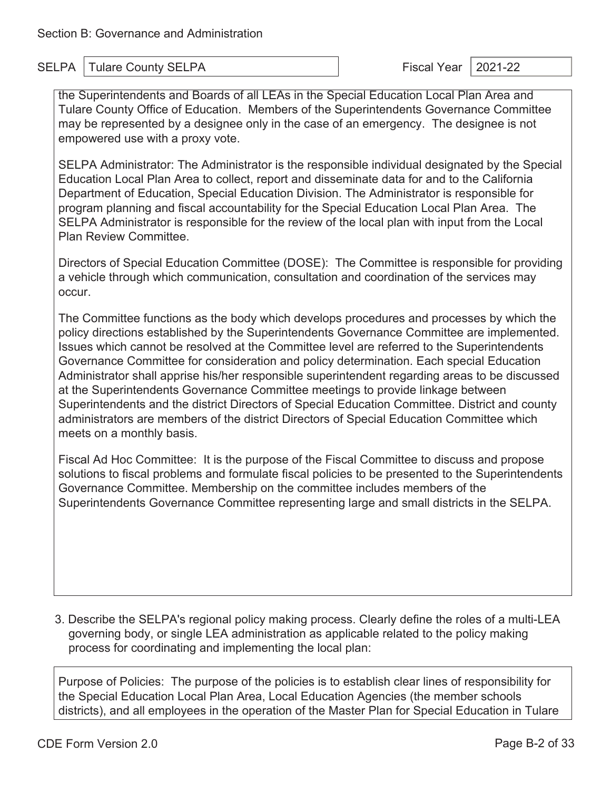the Superintendents and Boards of all LEAs in the Special Education Local Plan Area and Tulare County Office of Education. Members of the Superintendents Governance Committee may be represented by a designee only in the case of an emergency. The designee is not empowered use with a proxy vote.

SELPA Administrator: The Administrator is the responsible individual designated by the Special Education Local Plan Area to collect, report and disseminate data for and to the California Department of Education, Special Education Division. The Administrator is responsible for program planning and fiscal accountability for the Special Education Local Plan Area. The SELPA Administrator is responsible for the review of the local plan with input from the Local Plan Review Committee.

Directors of Special Education Committee (DOSE): The Committee is responsible for providing a vehicle through which communication, consultation and coordination of the services may occur.

The Committee functions as the body which develops procedures and processes by which the policy directions established by the Superintendents Governance Committee are implemented. Issues which cannot be resolved at the Committee level are referred to the Superintendents Governance Committee for consideration and policy determination. Each special Education Administrator shall apprise his/her responsible superintendent regarding areas to be discussed at the Superintendents Governance Committee meetings to provide linkage between Superintendents and the district Directors of Special Education Committee. District and county administrators are members of the district Directors of Special Education Committee which meets on a monthly basis.

Fiscal Ad Hoc Committee: It is the purpose of the Fiscal Committee to discuss and propose solutions to fiscal problems and formulate fiscal policies to be presented to the Superintendents Governance Committee. Membership on the committee includes members of the Superintendents Governance Committee representing large and small districts in the SELPA.

3. Describe the SELPA's regional policy making process. Clearly define the roles of a multi-LEA governing body, or single LEA administration as applicable related to the policy making process for coordinating and implementing the local plan:

Purpose of Policies: The purpose of the policies is to establish clear lines of responsibility for the Special Education Local Plan Area, Local Education Agencies (the member schools districts), and all employees in the operation of the Master Plan for Special Education in Tulare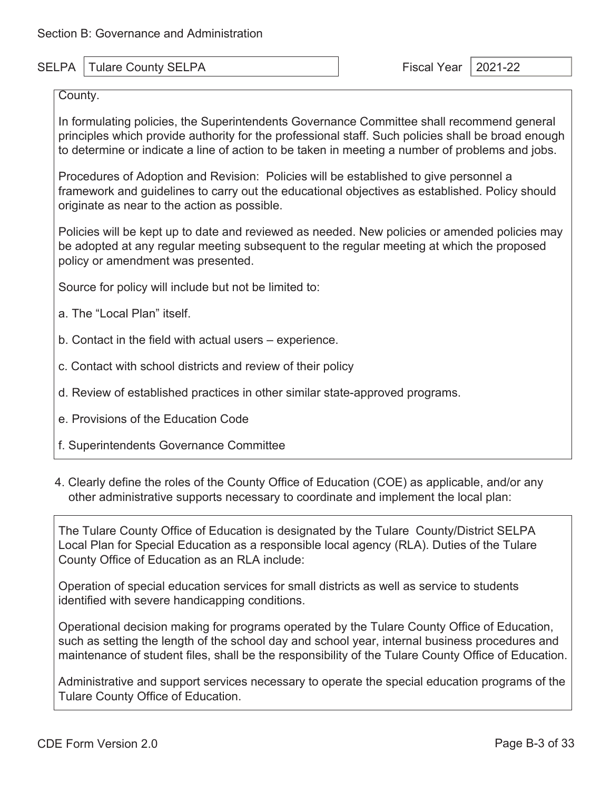#### SELPA | Tulare County SELPA  $\vert$  Fiscal Year | 2021-22

County.

In formulating policies, the Superintendents Governance Committee shall recommend general principles which provide authority for the professional staff. Such policies shall be broad enough to determine or indicate a line of action to be taken in meeting a number of problems and jobs.

Procedures of Adoption and Revision: Policies will be established to give personnel a framework and guidelines to carry out the educational objectives as established. Policy should originate as near to the action as possible.

Policies will be kept up to date and reviewed as needed. New policies or amended policies may be adopted at any regular meeting subsequent to the regular meeting at which the proposed policy or amendment was presented.

Source for policy will include but not be limited to:

- a. The "Local Plan" itself.
- b. Contact in the field with actual users experience.
- c. Contact with school districts and review of their policy
- d. Review of established practices in other similar state-approved programs.
- e. Provisions of the Education Code
- f. Superintendents Governance Committee
- 4. Clearly define the roles of the County Office of Education (COE) as applicable, and/or any other administrative supports necessary to coordinate and implement the local plan:

The Tulare County Office of Education is designated by the Tulare County/District SELPA Local Plan for Special Education as a responsible local agency (RLA). Duties of the Tulare County Office of Education as an RLA include:

Operation of special education services for small districts as well as service to students identified with severe handicapping conditions.

Operational decision making for programs operated by the Tulare County Office of Education, such as setting the length of the school day and school year, internal business procedures and maintenance of student files, shall be the responsibility of the Tulare County Office of Education.

Administrative and support services necessary to operate the special education programs of the Tulare County Office of Education.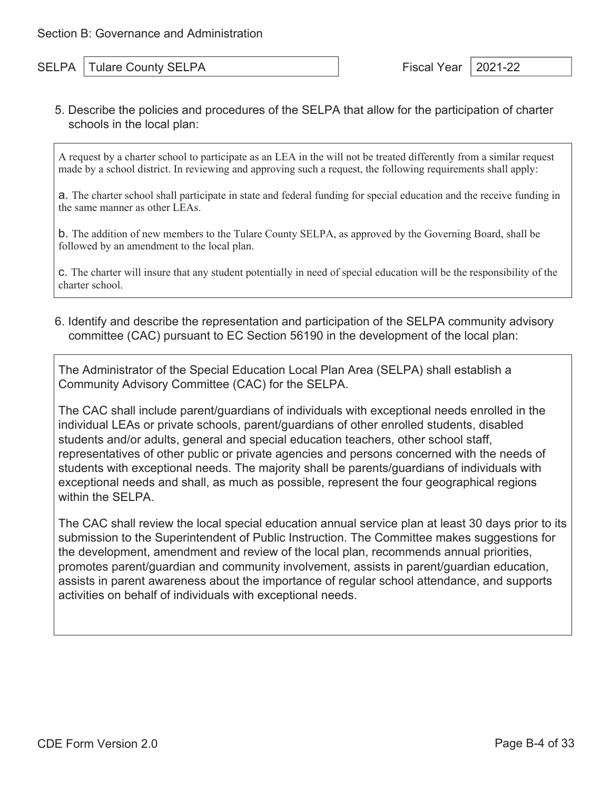5. Describe the policies and procedures of the SELPA that allow for the participation of charter schools in the local plan:

A request by a charter school to participate as an LEA in the will not be treated differently from a similar request made by a school district. In reviewing and approving such a request, the following requirements shall apply:

a. The charter school shall participate in state and federal funding for special education and the receive funding in the same manner as other LEAs.

b. The addition of new members to the Tulare County SELPA, as approved by the Governing Board, shall be followed by an amendment to the local plan.

c. The charter will insure that any student potentially in need of special education will be the responsibility of the charter school.

6. Identify and describe the representation and participation of the SELPA community advisory committee (CAC) pursuant to EC Section 56190 in the development of the local plan:

The Administrator of the Special Education Local Plan Area (SELPA) shall establish a Community Advisory Committee (CAC) for the SELPA.

The CAC shall include parent/guardians of individuals with exceptional needs enrolled in the individual LEAs or private schools, parent/guardians of other enrolled students, disabled students and/or adults, general and special education teachers, other school staff, representatives of other public or private agencies and persons concerned with the needs of students with exceptional needs. The majority shall be parents/guardians of individuals with exceptional needs and shall, as much as possible, represent the four geographical regions within the SELPA.

The CAC shall review the local special education annual service plan at least 30 days prior to its submission to the Superintendent of Public Instruction. The Committee makes suggestions for the development, amendment and review of the local plan, recommends annual priorities, promotes parent/guardian and community involvement, assists in parent/guardian education, assists in parent awareness about the importance of regular school attendance, and supports activities on behalf of individuals with exceptional needs.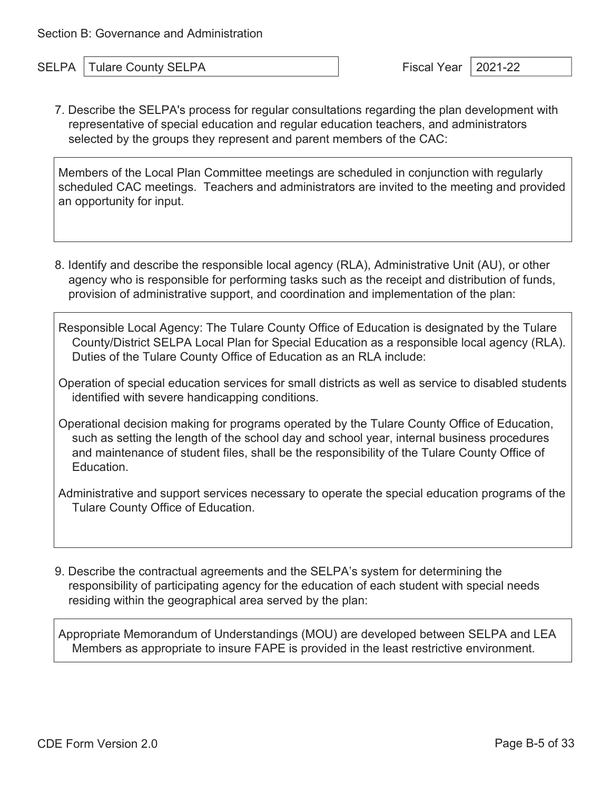SELPA | Tulare County SELPA  $\vert$  Fiscal Year | 2021-22

7. Describe the SELPA's process for regular consultations regarding the plan development with representative of special education and regular education teachers, and administrators selected by the groups they represent and parent members of the CAC:

Members of the Local Plan Committee meetings are scheduled in conjunction with regularly scheduled CAC meetings. Teachers and administrators are invited to the meeting and provided an opportunity for input.

8. Identify and describe the responsible local agency (RLA), Administrative Unit (AU), or other agency who is responsible for performing tasks such as the receipt and distribution of funds, provision of administrative support, and coordination and implementation of the plan:

Responsible Local Agency: The Tulare County Office of Education is designated by the Tulare County/District SELPA Local Plan for Special Education as a responsible local agency (RLA). Duties of the Tulare County Office of Education as an RLA include:

Operation of special education services for small districts as well as service to disabled students identified with severe handicapping conditions.

Operational decision making for programs operated by the Tulare County Office of Education, such as setting the length of the school day and school year, internal business procedures and maintenance of student files, shall be the responsibility of the Tulare County Office of Education.

Administrative and support services necessary to operate the special education programs of the Tulare County Office of Education.

9. Describe the contractual agreements and the SELPA's system for determining the responsibility of participating agency for the education of each student with special needs residing within the geographical area served by the plan:

Appropriate Memorandum of Understandings (MOU) are developed between SELPA and LEA Members as appropriate to insure FAPE is provided in the least restrictive environment.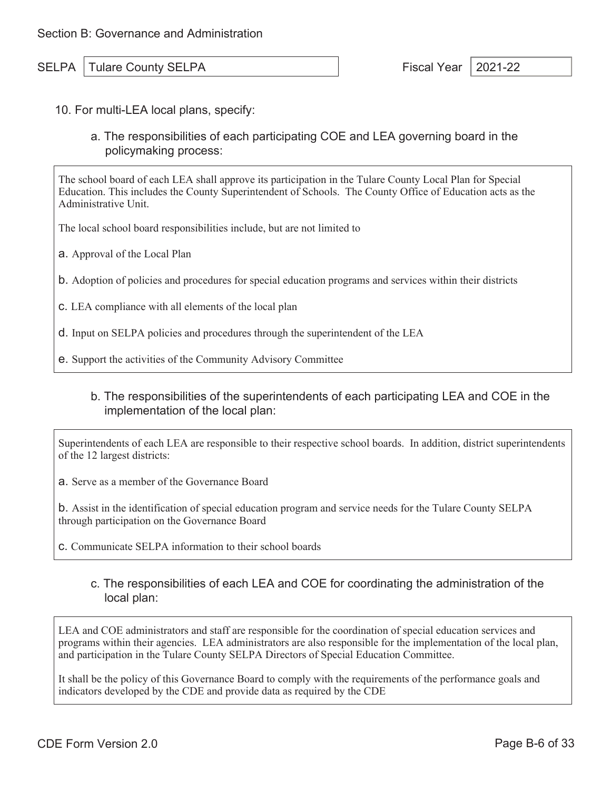SELPA Tulare County SELPA Fiscal Year 2021-22

- 10. For multi-LEA local plans, specify:
	- a. The responsibilities of each participating COE and LEA governing board in the policymaking process:

The school board of each LEA shall approve its participation in the Tulare County Local Plan for Special Education. This includes the County Superintendent of Schools. The County Office of Education acts as the Administrative Unit.

The local school board responsibilities include, but are not limited to

a. Approval of the Local Plan

b. Adoption of policies and procedures for special education programs and services within their districts

c. LEA compliance with all elements of the local plan

d. Input on SELPA policies and procedures through the superintendent of the LEA

e. Support the activities of the Community Advisory Committee

#### b. The responsibilities of the superintendents of each participating LEA and COE in the implementation of the local plan:

Superintendents of each LEA are responsible to their respective school boards. In addition, district superintendents of the 12 largest districts:

a. Serve as a member of the Governance Board

b. Assist in the identification of special education program and service needs for the Tulare County SELPA through participation on the Governance Board

- c. Communicate SELPA information to their school boards
	- c. The responsibilities of each LEA and COE for coordinating the administration of the local plan:

LEA and COE administrators and staff are responsible for the coordination of special education services and programs within their agencies. LEA administrators are also responsible for the implementation of the local plan, and participation in the Tulare County SELPA Directors of Special Education Committee.

It shall be the policy of this Governance Board to comply with the requirements of the performance goals and indicators developed by the CDE and provide data as required by the CDE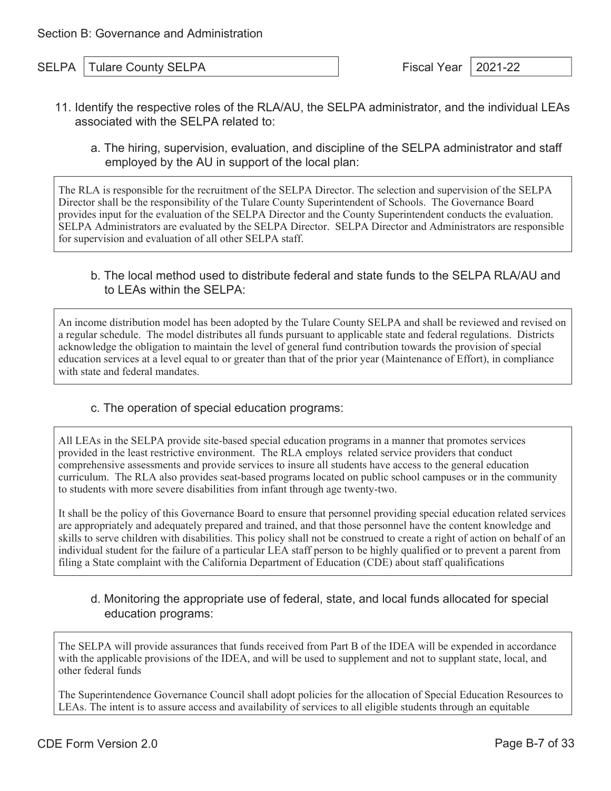SELPA Tulare County SELPA Fiscal Year 2021-22

- 11. Identify the respective roles of the RLA/AU, the SELPA administrator, and the individual LEAs associated with the SELPA related to:
	- a. The hiring, supervision, evaluation, and discipline of the SELPA administrator and staff employed by the AU in support of the local plan:

The RLA is responsible for the recruitment of the SELPA Director. The selection and supervision of the SELPA Director shall be the responsibility of the Tulare County Superintendent of Schools. The Governance Board provides input for the evaluation of the SELPA Director and the County Superintendent conducts the evaluation. SELPA Administrators are evaluated by the SELPA Director. SELPA Director and Administrators are responsible for supervision and evaluation of all other SELPA staff.

### b. The local method used to distribute federal and state funds to the SELPA RLA/AU and to LEAs within the SELPA:

An income distribution model has been adopted by the Tulare County SELPA and shall be reviewed and revised on a regular schedule. The model distributes all funds pursuant to applicable state and federal regulations. Districts acknowledge the obligation to maintain the level of general fund contribution towards the provision of special education services at a level equal to or greater than that of the prior year (Maintenance of Effort), in compliance with state and federal mandates.

#### c. The operation of special education programs:

All LEAs in the SELPA provide site-based special education programs in a manner that promotes services provided in the least restrictive environment. The RLA employs related service providers that conduct comprehensive assessments and provide services to insure all students have access to the general education curriculum. The RLA also provides seat-based programs located on public school campuses or in the community to students with more severe disabilities from infant through age twenty-two.

It shall be the policy of this Governance Board to ensure that personnel providing special education related services are appropriately and adequately prepared and trained, and that those personnel have the content knowledge and skills to serve children with disabilities. This policy shall not be construed to create a right of action on behalf of an individual student for the failure of a particular LEA staff person to be highly qualified or to prevent a parent from filing a State complaint with the California Department of Education (CDE) about staff qualifications

#### d. Monitoring the appropriate use of federal, state, and local funds allocated for special education programs:

The SELPA will provide assurances that funds received from Part B of the IDEA will be expended in accordance with the applicable provisions of the IDEA, and will be used to supplement and not to supplant state, local, and other federal funds

The Superintendence Governance Council shall adopt policies for the allocation of Special Education Resources to LEAs. The intent is to assure access and availability of services to all eligible students through an equitable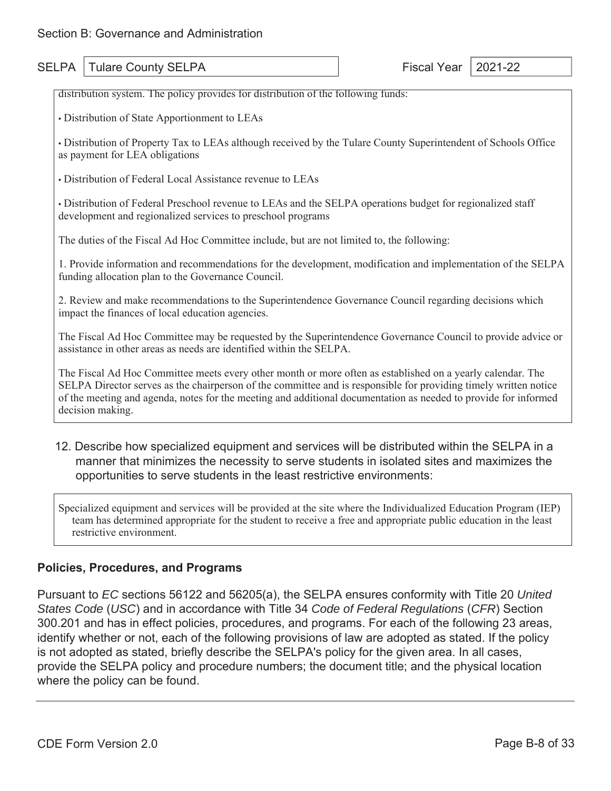| SELPA | <b>Tulare County SELPA</b>                                                                                                                                                                                                                                                                                                                                            | <b>Fiscal Year</b> | 2021-22 |  |
|-------|-----------------------------------------------------------------------------------------------------------------------------------------------------------------------------------------------------------------------------------------------------------------------------------------------------------------------------------------------------------------------|--------------------|---------|--|
|       | distribution system. The policy provides for distribution of the following funds:                                                                                                                                                                                                                                                                                     |                    |         |  |
|       | • Distribution of State Apportionment to LEAs                                                                                                                                                                                                                                                                                                                         |                    |         |  |
|       | • Distribution of Property Tax to LEAs although received by the Tulare County Superintendent of Schools Office<br>as payment for LEA obligations                                                                                                                                                                                                                      |                    |         |  |
|       | · Distribution of Federal Local Assistance revenue to LEAs                                                                                                                                                                                                                                                                                                            |                    |         |  |
|       | • Distribution of Federal Preschool revenue to LEAs and the SELPA operations budget for regionalized staff<br>development and regionalized services to preschool programs                                                                                                                                                                                             |                    |         |  |
|       | The duties of the Fiscal Ad Hoc Committee include, but are not limited to, the following:                                                                                                                                                                                                                                                                             |                    |         |  |
|       | 1. Provide information and recommendations for the development, modification and implementation of the SELPA<br>funding allocation plan to the Governance Council.                                                                                                                                                                                                    |                    |         |  |
|       | 2. Review and make recommendations to the Superintendence Governance Council regarding decisions which<br>impact the finances of local education agencies.                                                                                                                                                                                                            |                    |         |  |
|       | The Fiscal Ad Hoc Committee may be requested by the Superintendence Governance Council to provide advice or<br>assistance in other areas as needs are identified within the SELPA.                                                                                                                                                                                    |                    |         |  |
|       | The Fiscal Ad Hoc Committee meets every other month or more often as established on a yearly calendar. The<br>SELPA Director serves as the chairperson of the committee and is responsible for providing timely written notice<br>of the meeting and agenda, notes for the meeting and additional documentation as needed to provide for informed<br>decision making. |                    |         |  |

12. Describe how specialized equipment and services will be distributed within the SELPA in a manner that minimizes the necessity to serve students in isolated sites and maximizes the opportunities to serve students in the least restrictive environments:

Specialized equipment and services will be provided at the site where the Individualized Education Program (IEP) team has determined appropriate for the student to receive a free and appropriate public education in the least restrictive environment.

### **Policies, Procedures, and Programs**

Pursuant to *EC* sections 56122 and 56205(a), the SELPA ensures conformity with Title 20 *United States Code* (*USC*) and in accordance with Title 34 *Code of Federal Regulations* (*CFR*) Section 300.201 and has in effect policies, procedures, and programs. For each of the following 23 areas, identify whether or not, each of the following provisions of law are adopted as stated. If the policy is not adopted as stated, briefly describe the SELPA's policy for the given area. In all cases, provide the SELPA policy and procedure numbers; the document title; and the physical location where the policy can be found.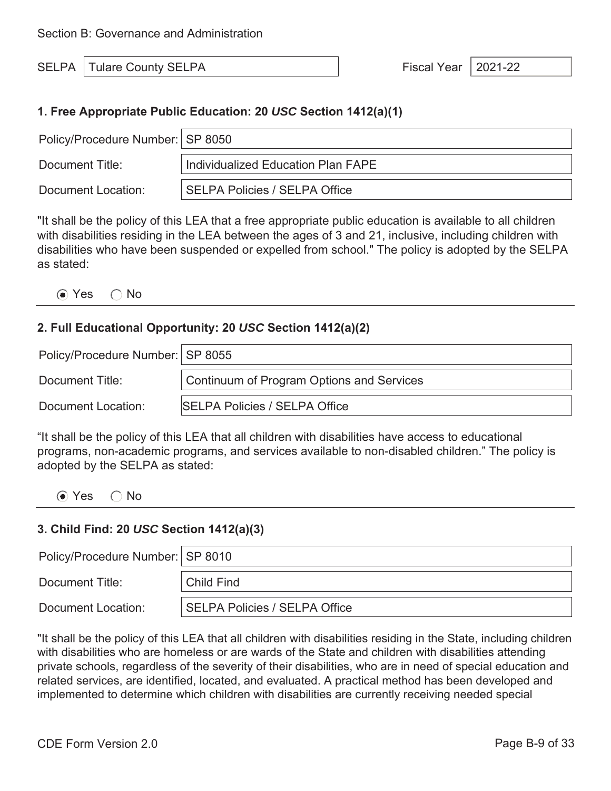#### **1. Free Appropriate Public Education: 20** *USC* **Section 1412(a)(1)**

| Policy/Procedure Number: SP 8050 |                                      |
|----------------------------------|--------------------------------------|
| Document Title:                  | Individualized Education Plan FAPE   |
| Document Location:               | <b>SELPA Policies / SELPA Office</b> |

"It shall be the policy of this LEA that a free appropriate public education is available to all children with disabilities residing in the LEA between the ages of 3 and 21, inclusive, including children with disabilities who have been suspended or expelled from school." The policy is adopted by the SELPA as stated:

 $\odot$  Yes  $\odot$  No

#### **2. Full Educational Opportunity: 20** *USC* **Section 1412(a)(2)**

| Policy/Procedure Number: SP 8055 |                                           |
|----------------------------------|-------------------------------------------|
| Document Title:                  | Continuum of Program Options and Services |
| Document Location:               | <b>SELPA Policies / SELPA Office</b>      |

"It shall be the policy of this LEA that all children with disabilities have access to educational programs, non-academic programs, and services available to non-disabled children." The policy is adopted by the SELPA as stated:

 $\odot$  Yes  $\odot$  No

#### **3. Child Find: 20** *USC* **Section 1412(a)(3)**

| Policy/Procedure Number:   SP 8010 |                                      |
|------------------------------------|--------------------------------------|
| Document Title:                    | <b>Child Find</b>                    |
| Document Location:                 | <b>SELPA Policies / SELPA Office</b> |

"It shall be the policy of this LEA that all children with disabilities residing in the State, including children with disabilities who are homeless or are wards of the State and children with disabilities attending private schools, regardless of the severity of their disabilities, who are in need of special education and related services, are identified, located, and evaluated. A practical method has been developed and implemented to determine which children with disabilities are currently receiving needed special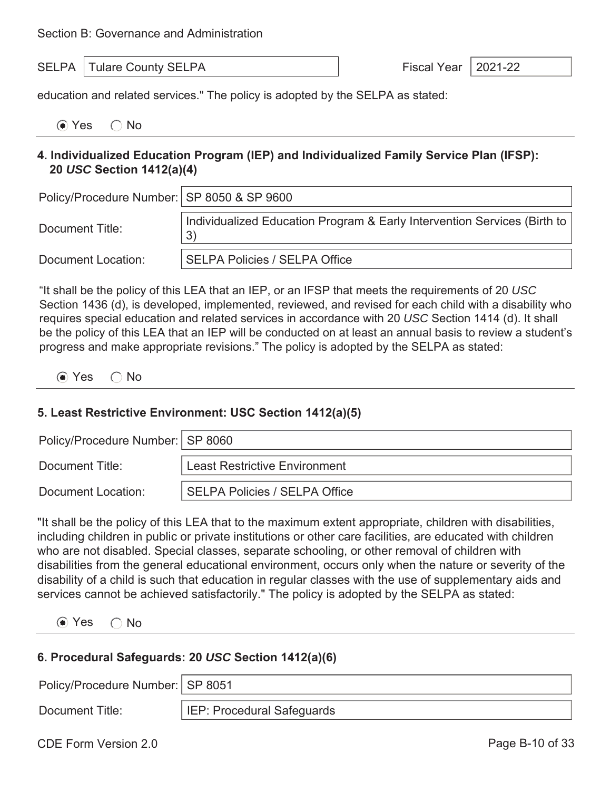SELPA Tulare County SELPA Fiscal Year 2021-22

education and related services." The policy is adopted by the SELPA as stated:

| $\odot$ Yes $\odot$ No |  |  |  |  |  |
|------------------------|--|--|--|--|--|
|------------------------|--|--|--|--|--|

#### **4. Individualized Education Program (IEP) and Individualized Family Service Plan (IFSP): 20** *USC* **Section 1412(a)(4)**

| Policy/Procedure Number:   SP 8050 & SP 9600 |                                                                                |
|----------------------------------------------|--------------------------------------------------------------------------------|
| Document Title:                              | Individualized Education Program & Early Intervention Services (Birth to<br>3) |
| Document Location:                           | <b>SELPA Policies / SELPA Office</b>                                           |

"It shall be the policy of this LEA that an IEP, or an IFSP that meets the requirements of 20 *USC* Section 1436 (d), is developed, implemented, reviewed, and revised for each child with a disability who requires special education and related services in accordance with 20 *USC* Section 1414 (d). It shall be the policy of this LEA that an IEP will be conducted on at least an annual basis to review a student's progress and make appropriate revisions." The policy is adopted by the SELPA as stated:

 $\odot$  Yes  $\odot$  No

#### **5. Least Restrictive Environment: USC Section 1412(a)(5)**

| Policy/Procedure Number:   SP 8060 |                                      |
|------------------------------------|--------------------------------------|
| Document Title:                    | <b>Least Restrictive Environment</b> |
| Document Location:                 | SELPA Policies / SELPA Office        |

"It shall be the policy of this LEA that to the maximum extent appropriate, children with disabilities, including children in public or private institutions or other care facilities, are educated with children who are not disabled. Special classes, separate schooling, or other removal of children with disabilities from the general educational environment, occurs only when the nature or severity of the disability of a child is such that education in regular classes with the use of supplementary aids and services cannot be achieved satisfactorily." The policy is adopted by the SELPA as stated:

| $\odot$ Yes |  | ∋ No |
|-------------|--|------|
|-------------|--|------|

#### **6. Procedural Safeguards: 20** *USC* **Section 1412(a)(6)**

| Policy/Procedure Number:   SP 8051 |                                   |
|------------------------------------|-----------------------------------|
| Document Title:                    | <b>IEP: Procedural Safeguards</b> |

CDE Form Version 2.0 **Page B-10 of 33**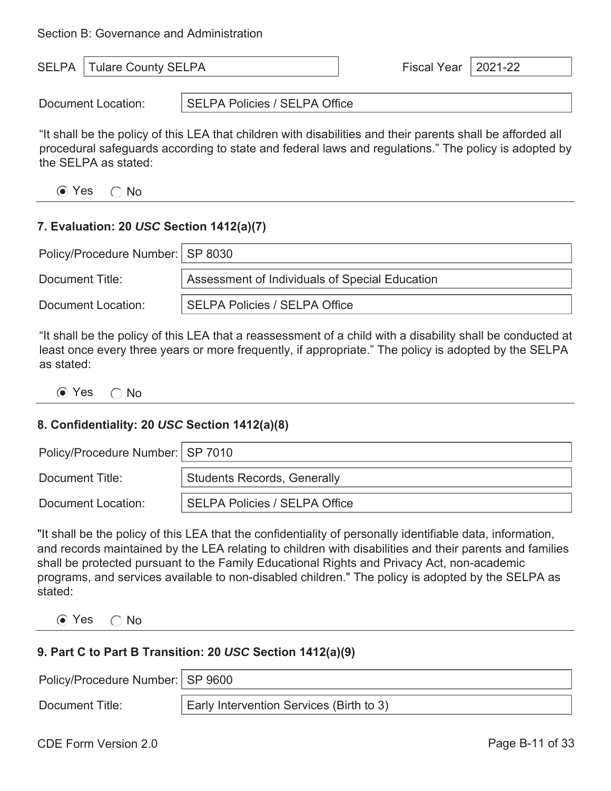| SELPA | Tulare County SELPA | <b>Fiscal Year</b> | $ 2021-22$ |
|-------|---------------------|--------------------|------------|
|       |                     |                    |            |

Document Location: | SELPA Policies / SELPA Office

"It shall be the policy of this LEA that children with disabilities and their parents shall be afforded all procedural safeguards according to state and federal laws and regulations." The policy is adopted by the SELPA as stated:

 $\odot$  Yes  $\odot$  No

### **7. Evaluation: 20** *USC* **Section 1412(a)(7)**

| Policy/Procedure Number:   SP 8030 |                                                |
|------------------------------------|------------------------------------------------|
| Document Title:                    | Assessment of Individuals of Special Education |
| Document Location:                 | SELPA Policies / SELPA Office                  |

"It shall be the policy of this LEA that a reassessment of a child with a disability shall be conducted at least once every three years or more frequently, if appropriate." The policy is adopted by the SELPA as stated:

 $\odot$  Yes  $\odot$  No

#### **8. Confidentiality: 20** *USC* **Section 1412(a)(8)**

| Policy/Procedure Number:   SP 7010 |                                    |
|------------------------------------|------------------------------------|
| Document Title:                    | <b>Students Records, Generally</b> |
| Document Location:                 | SELPA Policies / SELPA Office      |

"It shall be the policy of this LEA that the confidentiality of personally identifiable data, information, and records maintained by the LEA relating to children with disabilities and their parents and families shall be protected pursuant to the Family Educational Rights and Privacy Act, non-academic programs, and services available to non-disabled children." The policy is adopted by the SELPA as stated:

 $\odot$  Yes  $\odot$  No

### **9. Part C to Part B Transition: 20** *USC* **Section 1412(a)(9)**

| Policy/Procedure Number:   SP 9600 |                                          |
|------------------------------------|------------------------------------------|
| Document Title:                    | Early Intervention Services (Birth to 3) |

CDE Form Version 2.0 **Page B-11 of 33**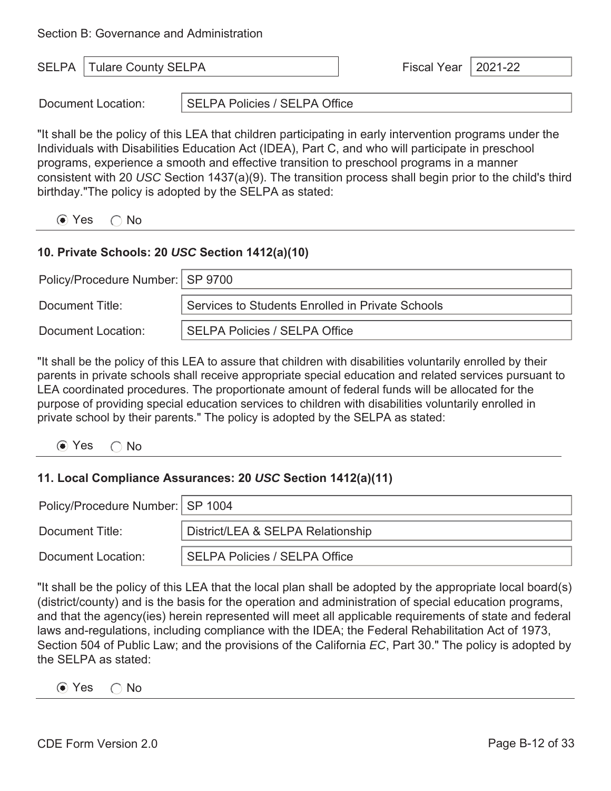| SELPA | Tulare County SELPA | Fiscal Year | $2021 - 22$ |  |
|-------|---------------------|-------------|-------------|--|
|       |                     |             |             |  |

Document Location: SELPA Policies / SELPA Office

"It shall be the policy of this LEA that children participating in early intervention programs under the Individuals with Disabilities Education Act (IDEA), Part C, and who will participate in preschool programs, experience a smooth and effective transition to preschool programs in a manner consistent with 20 *USC* Section 1437(a)(9). The transition process shall begin prior to the child's third birthday."The policy is adopted by the SELPA as stated:

 $\odot$  Yes  $\odot$  No

#### **10. Private Schools: 20** *USC* **Section 1412(a)(10)**

| Policy/Procedure Number:   SP 9700 |                                                  |
|------------------------------------|--------------------------------------------------|
| Document Title:                    | Services to Students Enrolled in Private Schools |
| Document Location:                 | SELPA Policies / SELPA Office                    |

"It shall be the policy of this LEA to assure that children with disabilities voluntarily enrolled by their parents in private schools shall receive appropriate special education and related services pursuant to LEA coordinated procedures. The proportionate amount of federal funds will be allocated for the purpose of providing special education services to children with disabilities voluntarily enrolled in private school by their parents." The policy is adopted by the SELPA as stated:

 $\odot$  Yes  $\odot$  No

#### **11. Local Compliance Assurances: 20** *USC* **Section 1412(a)(11)**

| Policy/Procedure Number:   SP 1004 |                                   |
|------------------------------------|-----------------------------------|
| Document Title:                    | District/LEA & SELPA Relationship |
| Document Location:                 | SELPA Policies / SELPA Office     |

"It shall be the policy of this LEA that the local plan shall be adopted by the appropriate local board(s) (district/county) and is the basis for the operation and administration of special education programs, and that the agency(ies) herein represented will meet all applicable requirements of state and federal laws and-regulations, including compliance with the IDEA; the Federal Rehabilitation Act of 1973, Section 504 of Public Law; and the provisions of the California *EC*, Part 30." The policy is adopted by the SELPA as stated:

 $\odot$  Yes  $\odot$  No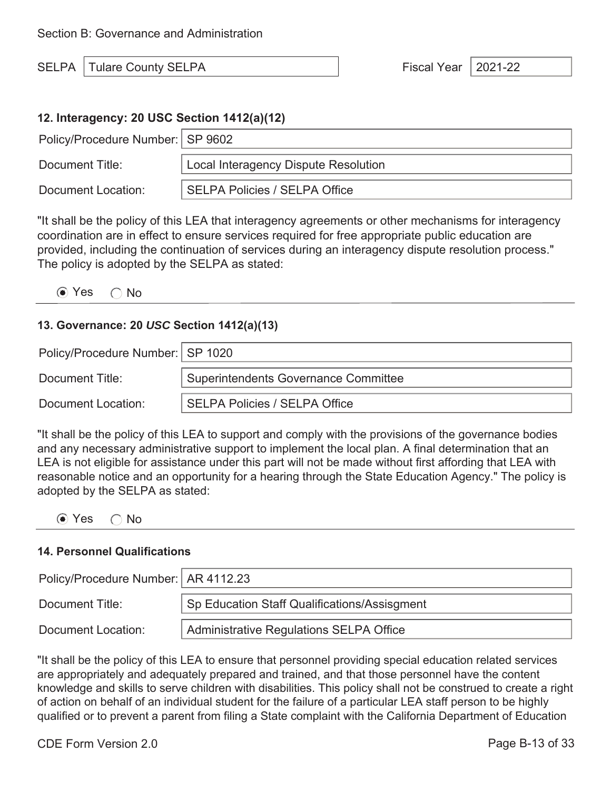SELPA Tulare County SELPA Fiscal Year 2021-22

#### **12. Interagency: 20 USC Section 1412(a)(12)**

| Policy/Procedure Number:   SP 9602 |                                      |
|------------------------------------|--------------------------------------|
| Document Title:                    | Local Interagency Dispute Resolution |
| Document Location:                 | SELPA Policies / SELPA Office        |

"It shall be the policy of this LEA that interagency agreements or other mechanisms for interagency coordination are in effect to ensure services required for free appropriate public education are provided, including the continuation of services during an interagency dispute resolution process." The policy is adopted by the SELPA as stated:

 $\odot$  Yes  $\odot$  No

#### **13. Governance: 20** *USC* **Section 1412(a)(13)**

| Policy/Procedure Number:   SP 1020 |                                      |
|------------------------------------|--------------------------------------|
| Document Title:                    | Superintendents Governance Committee |
| Document Location:                 | SELPA Policies / SELPA Office        |

"It shall be the policy of this LEA to support and comply with the provisions of the governance bodies and any necessary administrative support to implement the local plan. A final determination that an LEA is not eligible for assistance under this part will not be made without first affording that LEA with reasonable notice and an opportunity for a hearing through the State Education Agency." The policy is adopted by the SELPA as stated:

 $\odot$  Yes  $\odot$  No

#### **14. Personnel Qualifications**

| Policy/Procedure Number:   AR 4112.23 |                                                     |
|---------------------------------------|-----------------------------------------------------|
| Document Title:                       | <b>Sp Education Staff Qualifications/Assisgment</b> |
| Document Location:                    | Administrative Regulations SELPA Office             |

"It shall be the policy of this LEA to ensure that personnel providing special education related services are appropriately and adequately prepared and trained, and that those personnel have the content knowledge and skills to serve children with disabilities. This policy shall not be construed to create a right of action on behalf of an individual student for the failure of a particular LEA staff person to be highly qualified or to prevent a parent from filing a State complaint with the California Department of Education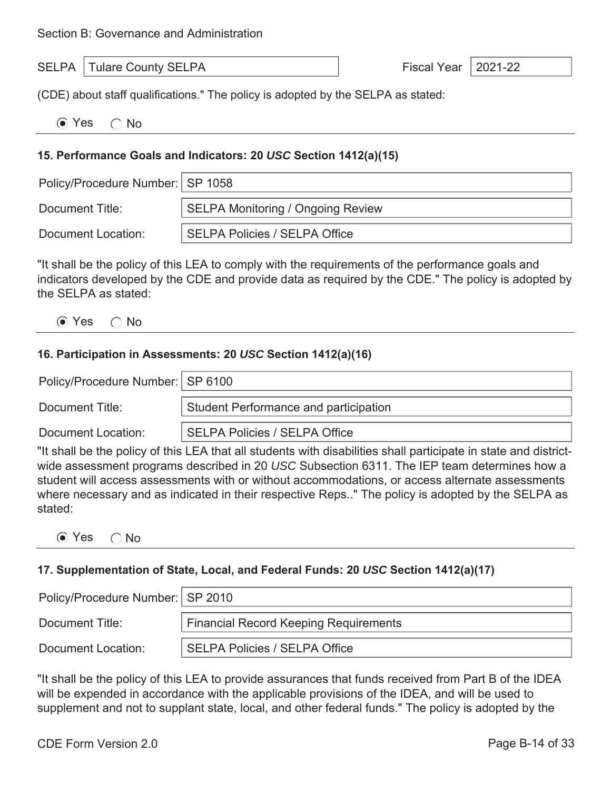| <b>SELPA</b>   Tulare County SELPA | Fiscal Year $\vert$ 2021-22 |  |
|------------------------------------|-----------------------------|--|
|------------------------------------|-----------------------------|--|

(CDE) about staff qualifications." The policy is adopted by the SELPA as stated:

| $\odot$ Yes $\odot$ No |  |
|------------------------|--|
|------------------------|--|

#### **15. Performance Goals and Indicators: 20** *USC* **Section 1412(a)(15)**

| Policy/Procedure Number:   SP 1058 |                                          |
|------------------------------------|------------------------------------------|
| Document Title:                    | <b>SELPA Monitoring / Ongoing Review</b> |
| Document Location:                 | <b>SELPA Policies / SELPA Office</b>     |

"It shall be the policy of this LEA to comply with the requirements of the performance goals and indicators developed by the CDE and provide data as required by the CDE." The policy is adopted by the SELPA as stated:

 $\odot$  Yes  $\odot$  No

#### **16. Participation in Assessments: 20** *USC* **Section 1412(a)(16)**

| Policy/Procedure Number:   SP 6100 |                                       |
|------------------------------------|---------------------------------------|
| Document Title:                    | Student Performance and participation |
| Document Location:                 | <b>SELPA Policies / SELPA Office</b>  |

"It shall be the policy of this LEA that all students with disabilities shall participate in state and districtwide assessment programs described in 20 *USC* Subsection 6311. The IEP team determines how a student will access assessments with or without accommodations, or access alternate assessments where necessary and as indicated in their respective Reps.." The policy is adopted by the SELPA as stated:

| ⊙ Yes | $\bigcirc$ No |
|-------|---------------|
|-------|---------------|

#### **17. Supplementation of State, Local, and Federal Funds: 20** *USC* **Section 1412(a)(17)**

| Policy/Procedure Number:   SP 2010 |                                              |
|------------------------------------|----------------------------------------------|
| Document Title:                    | <b>Financial Record Keeping Requirements</b> |
| Document Location:                 | <b>SELPA Policies / SELPA Office</b>         |

"It shall be the policy of this LEA to provide assurances that funds received from Part B of the IDEA will be expended in accordance with the applicable provisions of the IDEA, and will be used to supplement and not to supplant state, local, and other federal funds." The policy is adopted by the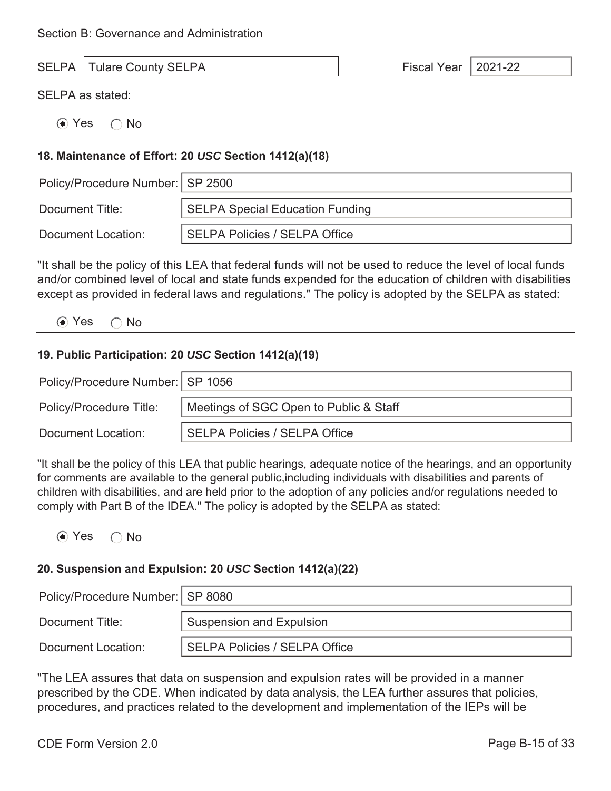| <b>SELPA</b>   Tulare County SELPA | Fiscal Year $\vert$ 2021-22 |  |
|------------------------------------|-----------------------------|--|
|                                    |                             |  |

SELPA as stated:

| $\odot$ Yes |  | No |
|-------------|--|----|
|-------------|--|----|

#### **18. Maintenance of Effort: 20** *USC* **Section 1412(a)(18)**

| Policy/Procedure Number:   SP 2500 |                                        |
|------------------------------------|----------------------------------------|
| Document Title:                    | <b>SELPA Special Education Funding</b> |
| Document Location:                 | 'SELPA Policies / SELPA Office         |

"It shall be the policy of this LEA that federal funds will not be used to reduce the level of local funds and/or combined level of local and state funds expended for the education of children with disabilities except as provided in federal laws and regulations." The policy is adopted by the SELPA as stated:

 $\odot$  Yes  $\odot$  No

#### **19. Public Participation: 20** *USC* **Section 1412(a)(19)**

| Policy/Procedure Number:   SP 1056 |                                        |
|------------------------------------|----------------------------------------|
| Policy/Procedure Title:            | Meetings of SGC Open to Public & Staff |
| Document Location:                 | SELPA Policies / SELPA Office          |

"It shall be the policy of this LEA that public hearings, adequate notice of the hearings, and an opportunity for comments are available to the general public,including individuals with disabilities and parents of children with disabilities, and are held prior to the adoption of any policies and/or regulations needed to comply with Part B of the IDEA." The policy is adopted by the SELPA as stated:

 $\odot$  Yes  $\odot$  No

## **20. Suspension and Expulsion: 20** *USC* **Section 1412(a)(22)**

| Policy/Procedure Number:   SP 8080 |                                      |
|------------------------------------|--------------------------------------|
| Document Title:                    | <b>Suspension and Expulsion</b>      |
| Document Location:                 | <b>SELPA Policies / SELPA Office</b> |

"The LEA assures that data on suspension and expulsion rates will be provided in a manner prescribed by the CDE. When indicated by data analysis, the LEA further assures that policies, procedures, and practices related to the development and implementation of the IEPs will be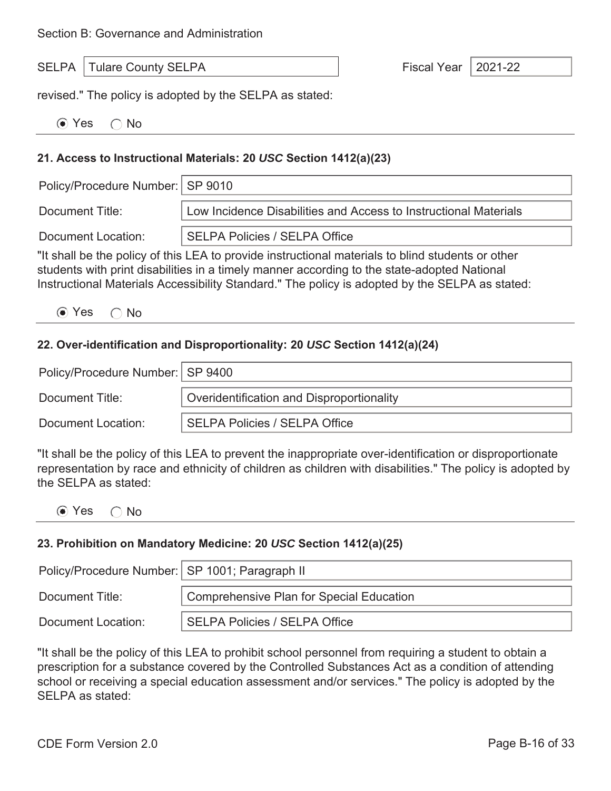revised." The policy is adopted by the SELPA as stated:

|  | $\odot$ Yes | $\bigcap$ No |
|--|-------------|--------------|
|--|-------------|--------------|

#### **21. Access to Instructional Materials: 20** *USC* **Section 1412(a)(23)**

| Policy/Procedure Number:   SP 9010 |                                                                  |
|------------------------------------|------------------------------------------------------------------|
| Document Title:                    | Low Incidence Disabilities and Access to Instructional Materials |
| Document Location:                 | <b>SELPA Policies / SELPA Office</b>                             |

"It shall be the policy of this LEA to provide instructional materials to blind students or other students with print disabilities in a timely manner according to the state-adopted National Instructional Materials Accessibility Standard." The policy is adopted by the SELPA as stated:

 $\odot$  Yes  $\odot$  No

#### **22. Over-identification and Disproportionality: 20** *USC* **Section 1412(a)(24)**

| Policy/Procedure Number:   SP 9400 |                                           |
|------------------------------------|-------------------------------------------|
| Document Title:                    | Overidentification and Disproportionality |
| Document Location:                 | <b>SELPA Policies / SELPA Office</b>      |

"It shall be the policy of this LEA to prevent the inappropriate over-identification or disproportionate representation by race and ethnicity of children as children with disabilities." The policy is adopted by the SELPA as stated:

⊙ Yes ∩ No

#### **23. Prohibition on Mandatory Medicine: 20** *USC* **Section 1412(a)(25)**

| Policy/Procedure Number:   SP 1001; Paragraph II |                                          |
|--------------------------------------------------|------------------------------------------|
| Document Title:                                  | Comprehensive Plan for Special Education |
| Document Location:                               | SELPA Policies / SELPA Office            |

"It shall be the policy of this LEA to prohibit school personnel from requiring a student to obtain a prescription for a substance covered by the Controlled Substances Act as a condition of attending school or receiving a special education assessment and/or services." The policy is adopted by the SELPA as stated: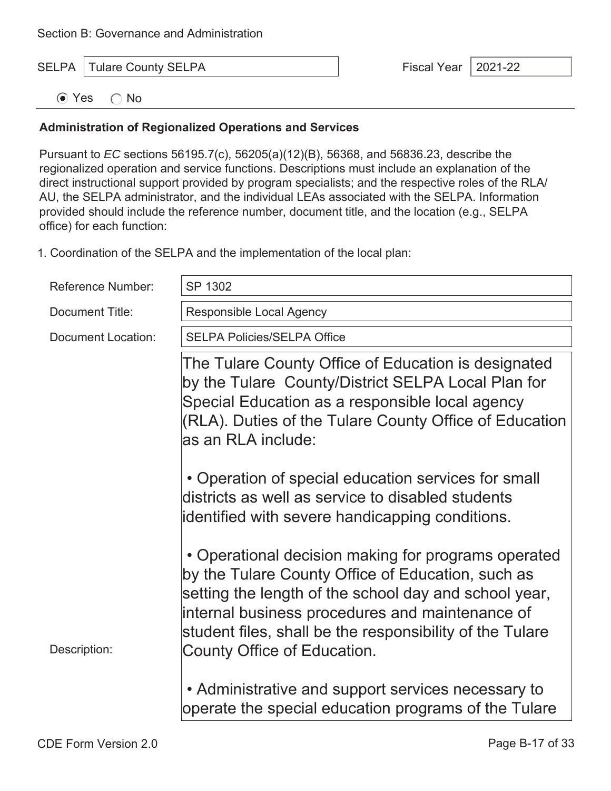SELPA Tulare County SELPA Fiscal Year 2021-22

 $\odot$  Yes  $\odot$  No

#### **Administration of Regionalized Operations and Services**

Pursuant to *EC* sections 56195.7(c), 56205(a)(12)(B), 56368, and 56836.23, describe the regionalized operation and service functions. Descriptions must include an explanation of the direct instructional support provided by program specialists; and the respective roles of the RLA/ AU, the SELPA administrator, and the individual LEAs associated with the SELPA. Information provided should include the reference number, document title, and the location (e.g., SELPA office) for each function:

1. Coordination of the SELPA and the implementation of the local plan:

| Reference Number:      | SP 1302                                                                                                                                                                                                                                                                                                         |
|------------------------|-----------------------------------------------------------------------------------------------------------------------------------------------------------------------------------------------------------------------------------------------------------------------------------------------------------------|
| <b>Document Title:</b> | <b>Responsible Local Agency</b>                                                                                                                                                                                                                                                                                 |
| Document Location:     | <b>SELPA Policies/SELPA Office</b>                                                                                                                                                                                                                                                                              |
|                        | The Tulare County Office of Education is designated<br>by the Tulare County/District SELPA Local Plan for<br>Special Education as a responsible local agency<br>(RLA). Duties of the Tulare County Office of Education<br>as an RLA include:                                                                    |
|                        | • Operation of special education services for small<br>districts as well as service to disabled students<br>identified with severe handicapping conditions.                                                                                                                                                     |
| Description:           | • Operational decision making for programs operated<br>by the Tulare County Office of Education, such as<br>setting the length of the school day and school year,<br>internal business procedures and maintenance of<br>student files, shall be the responsibility of the Tulare<br>County Office of Education. |
|                        | • Administrative and support services necessary to<br>operate the special education programs of the Tulare                                                                                                                                                                                                      |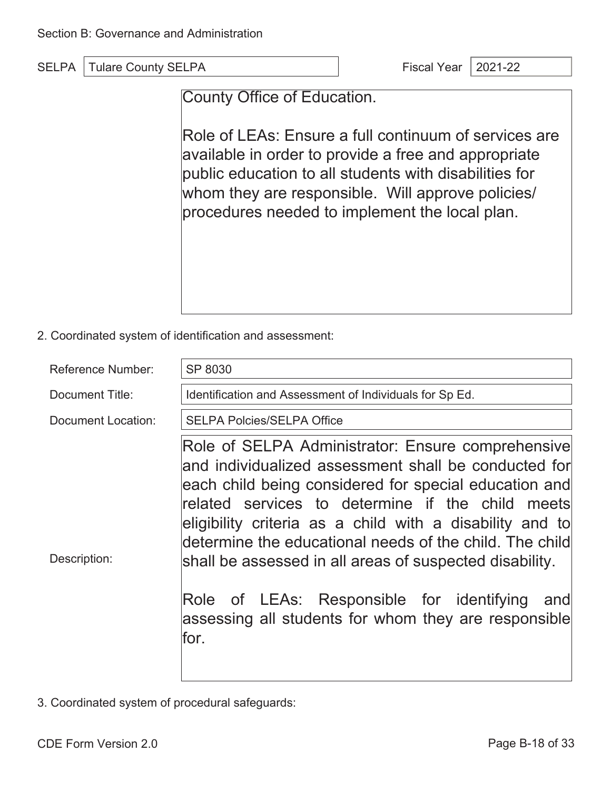County Office of Education.

Role of LEAs: Ensure a full continuum of services are available in order to provide a free and appropriate public education to all students with disabilities for whom they are responsible. Will approve policies/ procedures needed to implement the local plan.

2. Coordinated system of identification and assessment:

| <b>Reference Number:</b> | SP 8030                                                                                                                                                                                                                                                                                                                                                                                                                                                                                                                       |
|--------------------------|-------------------------------------------------------------------------------------------------------------------------------------------------------------------------------------------------------------------------------------------------------------------------------------------------------------------------------------------------------------------------------------------------------------------------------------------------------------------------------------------------------------------------------|
| Document Title:          | Identification and Assessment of Individuals for Sp Ed.                                                                                                                                                                                                                                                                                                                                                                                                                                                                       |
| Document Location:       | <b>SELPA Polcies/SELPA Office</b>                                                                                                                                                                                                                                                                                                                                                                                                                                                                                             |
| Description:             | Role of SELPA Administrator: Ensure comprehensive<br>and individualized assessment shall be conducted for<br>each child being considered for special education and<br>related services to determine if the child meets<br>eligibility criteria as a child with a disability and to<br>determine the educational needs of the child. The child<br>shall be assessed in all areas of suspected disability.<br>Role of LEAs: Responsible for identifying<br>and<br>assessing all students for whom they are responsible<br>lfor. |

3. Coordinated system of procedural safeguards: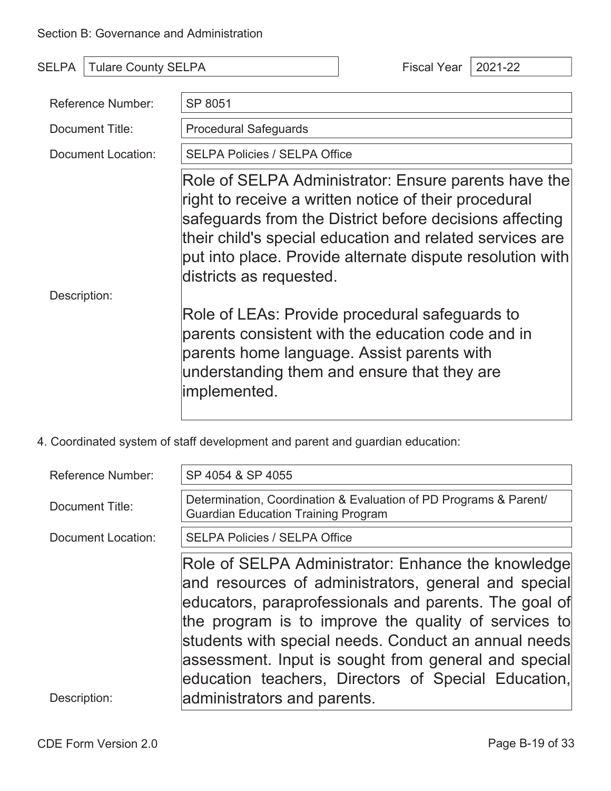| SELPA<br><b>Tulare County SELPA</b> |                                                                                       | 2021-22<br><b>Fiscal Year</b>                                                                                                                                                                                                                                                                                                                                                                                                                           |
|-------------------------------------|---------------------------------------------------------------------------------------|---------------------------------------------------------------------------------------------------------------------------------------------------------------------------------------------------------------------------------------------------------------------------------------------------------------------------------------------------------------------------------------------------------------------------------------------------------|
| Reference Number:                   | SP 8051                                                                               |                                                                                                                                                                                                                                                                                                                                                                                                                                                         |
| Document Title:                     | <b>Procedural Safeguards</b>                                                          |                                                                                                                                                                                                                                                                                                                                                                                                                                                         |
| Document Location:                  | <b>SELPA Policies / SELPA Office</b>                                                  |                                                                                                                                                                                                                                                                                                                                                                                                                                                         |
| Description:                        | districts as requested.<br>parents home language. Assist parents with<br>implemented. | Role of SELPA Administrator: Ensure parents have the<br>right to receive a written notice of their procedural<br>safeguards from the District before decisions affecting<br>their child's special education and related services are<br>put into place. Provide alternate dispute resolution with<br>Role of LEAs: Provide procedural safeguards to<br>parents consistent with the education code and in<br>understanding them and ensure that they are |

4. Coordinated system of staff development and parent and guardian education:

| Reference Number:  | SP 4054 & SP 4055                                                                                                                                                                                                                                                                                                                                                                                  |
|--------------------|----------------------------------------------------------------------------------------------------------------------------------------------------------------------------------------------------------------------------------------------------------------------------------------------------------------------------------------------------------------------------------------------------|
| Document Title:    | Determination, Coordination & Evaluation of PD Programs & Parent/<br><b>Guardian Education Training Program</b>                                                                                                                                                                                                                                                                                    |
| Document Location: | <b>SELPA Policies / SELPA Office</b>                                                                                                                                                                                                                                                                                                                                                               |
|                    | Role of SELPA Administrator: Enhance the knowledge<br>and resources of administrators, general and special<br>educators, paraprofessionals and parents. The goal of<br>the program is to improve the quality of services to<br>students with special needs. Conduct an annual needs<br>assessment. Input is sought from general and special<br>education teachers, Directors of Special Education, |
| Description:       | administrators and parents.                                                                                                                                                                                                                                                                                                                                                                        |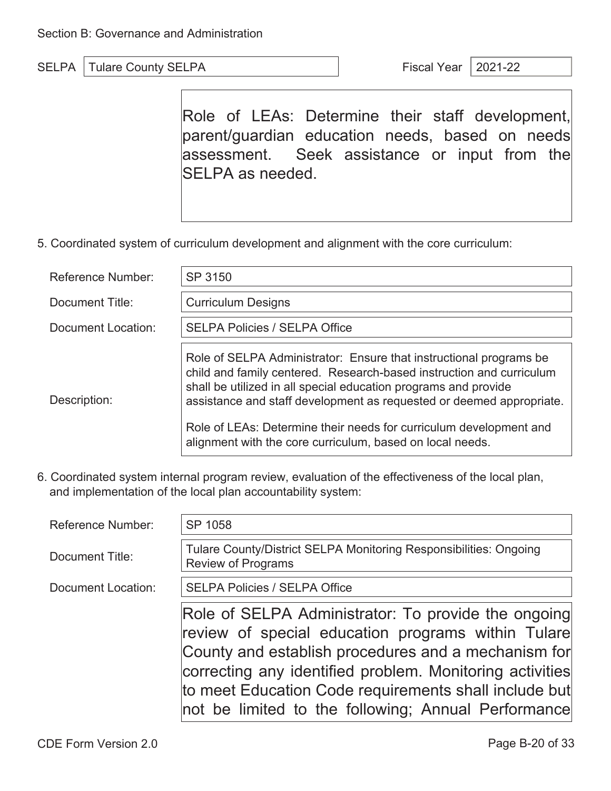Ξ Role of LEAs: Determine their staff development, parent/guardian education needs, based on needs assessment. Seek assistance or input from the SELPA as needed.

5. Coordinated system of curriculum development and alignment with the core curriculum:

| Reference Number:  | SP 3150                                                                                                                                                                                                                                                                                                                                                                                                                  |  |  |
|--------------------|--------------------------------------------------------------------------------------------------------------------------------------------------------------------------------------------------------------------------------------------------------------------------------------------------------------------------------------------------------------------------------------------------------------------------|--|--|
| Document Title:    | <b>Curriculum Designs</b>                                                                                                                                                                                                                                                                                                                                                                                                |  |  |
| Document Location: | <b>SELPA Policies / SELPA Office</b>                                                                                                                                                                                                                                                                                                                                                                                     |  |  |
| Description:       | Role of SELPA Administrator: Ensure that instructional programs be<br>child and family centered. Research-based instruction and curriculum<br>shall be utilized in all special education programs and provide<br>assistance and staff development as requested or deemed appropriate.<br>Role of LEAs: Determine their needs for curriculum development and<br>alignment with the core curriculum, based on local needs. |  |  |

6. Coordinated system internal program review, evaluation of the effectiveness of the local plan, and implementation of the local plan accountability system:

| <b>Reference Number:</b> | SP 1058                                                                                                                                                                                                                                                                                                                                      |  |  |
|--------------------------|----------------------------------------------------------------------------------------------------------------------------------------------------------------------------------------------------------------------------------------------------------------------------------------------------------------------------------------------|--|--|
| Document Title:          | Tulare County/District SELPA Monitoring Responsibilities: Ongoing<br><b>Review of Programs</b>                                                                                                                                                                                                                                               |  |  |
| Document Location:       | <b>SELPA Policies / SELPA Office</b>                                                                                                                                                                                                                                                                                                         |  |  |
|                          | Role of SELPA Administrator: To provide the ongoing<br>review of special education programs within Tulare<br>County and establish procedures and a mechanism for<br>correcting any identified problem. Monitoring activities<br>to meet Education Code requirements shall include but<br>not be limited to the following; Annual Performance |  |  |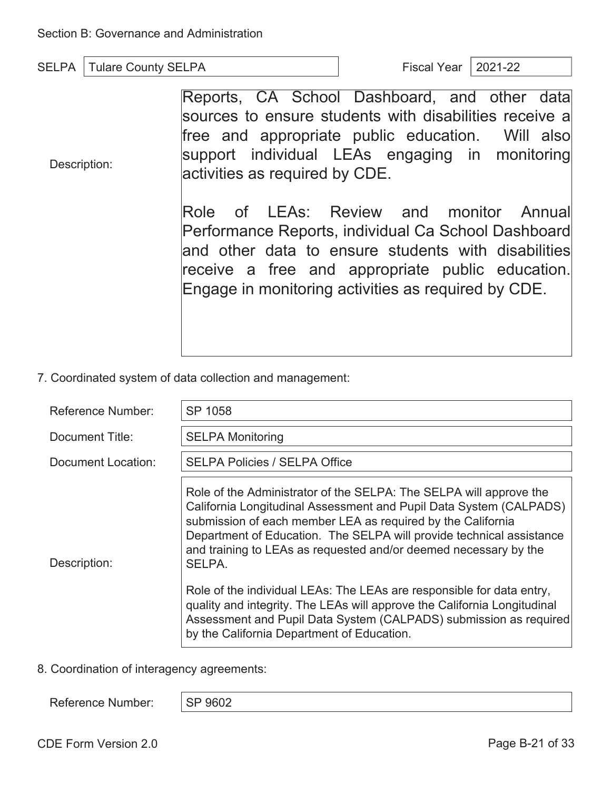| <b>SELPA</b> | Tulare County SELPA | Ficcal<br>Year ⊥ | 2021-22 |
|--------------|---------------------|------------------|---------|
|              |                     |                  |         |

Description: Reports, CA School Dashboard, and other data sources to ensure students with disabilities receive a free and appropriate public education. Will also support individual LEAs engaging in monitoring activities as required by CDE. Role of LEAs: Review and monitor Annual Performance Reports, individual Ca School Dashboard and other data to ensure students with disabilities receive a free and appropriate public education. Engage in monitoring activities as required by CDE.

7. Coordinated system of data collection and management:

| Reference Number:  | SP 1058                                                                                                                                                                                                                                                                                                                                                       |  |  |
|--------------------|---------------------------------------------------------------------------------------------------------------------------------------------------------------------------------------------------------------------------------------------------------------------------------------------------------------------------------------------------------------|--|--|
| Document Title:    | <b>SELPA Monitoring</b>                                                                                                                                                                                                                                                                                                                                       |  |  |
| Document Location: | <b>SELPA Policies / SELPA Office</b>                                                                                                                                                                                                                                                                                                                          |  |  |
| Description:       | Role of the Administrator of the SELPA: The SELPA will approve the<br>California Longitudinal Assessment and Pupil Data System (CALPADS)<br>submission of each member LEA as required by the California<br>Department of Education. The SELPA will provide technical assistance<br>and training to LEAs as requested and/or deemed necessary by the<br>SELPA. |  |  |
|                    | Role of the individual LEAs: The LEAs are responsible for data entry,<br>quality and integrity. The LEAs will approve the California Longitudinal<br>Assessment and Pupil Data System (CALPADS) submission as required<br>by the California Department of Education.                                                                                          |  |  |

8. Coordination of interagency agreements:

Reference Number: | SP 9602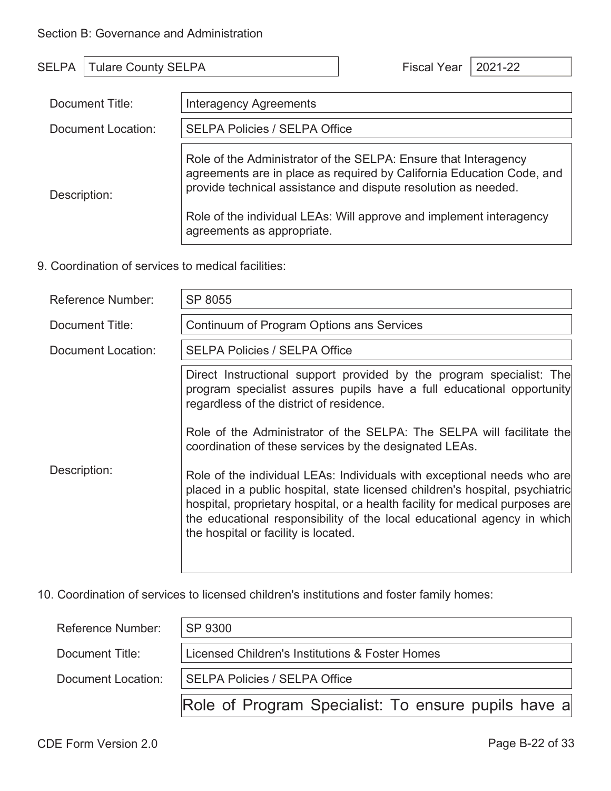| SELPA<br><b>Tulare County SELPA</b> |                               | 2021-22<br><b>Fiscal Year</b>                                                                                                                                                                                                                                                     |  |  |
|-------------------------------------|-------------------------------|-----------------------------------------------------------------------------------------------------------------------------------------------------------------------------------------------------------------------------------------------------------------------------------|--|--|
| Document Title:                     | <b>Interagency Agreements</b> |                                                                                                                                                                                                                                                                                   |  |  |
| Document Location:                  |                               | <b>SELPA Policies / SELPA Office</b>                                                                                                                                                                                                                                              |  |  |
| Description:                        | agreements as appropriate.    | Role of the Administrator of the SELPA: Ensure that Interagency<br>agreements are in place as required by California Education Code, and<br>provide technical assistance and dispute resolution as needed.<br>Role of the individual LEAs: Will approve and implement interagency |  |  |

9. Coordination of services to medical facilities:

| Reference Number:  | SP 8055                                                                                                                                                                                                                                                                                                                                                     |  |
|--------------------|-------------------------------------------------------------------------------------------------------------------------------------------------------------------------------------------------------------------------------------------------------------------------------------------------------------------------------------------------------------|--|
| Document Title:    | Continuum of Program Options ans Services                                                                                                                                                                                                                                                                                                                   |  |
| Document Location: | <b>SELPA Policies / SELPA Office</b>                                                                                                                                                                                                                                                                                                                        |  |
|                    | Direct Instructional support provided by the program specialist: The<br>program specialist assures pupils have a full educational opportunity<br>regardless of the district of residence.                                                                                                                                                                   |  |
|                    | Role of the Administrator of the SELPA: The SELPA will facilitate the<br>coordination of these services by the designated LEAs.                                                                                                                                                                                                                             |  |
| Description:       | Role of the individual LEAs: Individuals with exceptional needs who are<br>placed in a public hospital, state licensed children's hospital, psychiatric<br>hospital, proprietary hospital, or a health facility for medical purposes are<br>the educational responsibility of the local educational agency in which<br>the hospital or facility is located. |  |

10. Coordination of services to licensed children's institutions and foster family homes:

| <b>Reference Number:</b> | <b>SP 9300</b>                                      |  |
|--------------------------|-----------------------------------------------------|--|
| Document Title:          | Licensed Children's Institutions & Foster Homes     |  |
| Document Location:       | SELPA Policies / SELPA Office                       |  |
|                          | Role of Program Specialist: To ensure pupils have a |  |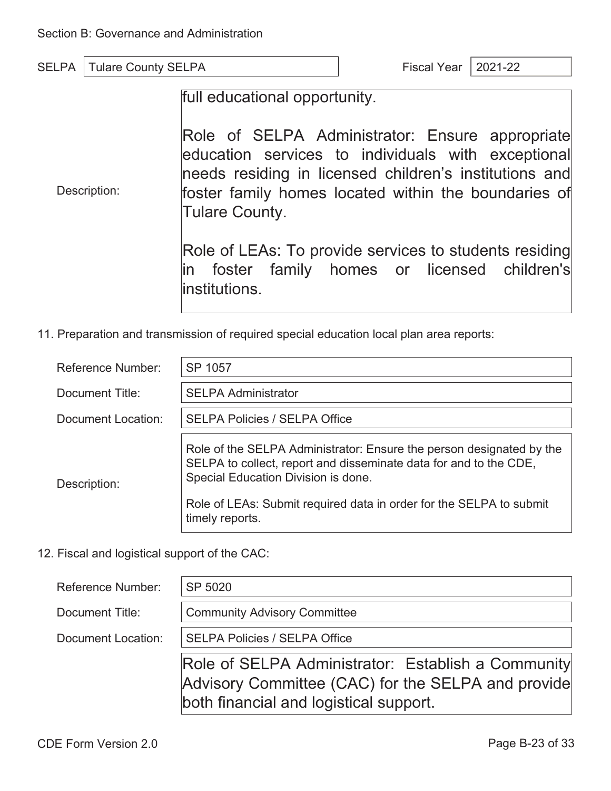Description:

| <b>SELPA</b>   Tulare County SELPA |  | Fiscal Year   2021-22 |  |
|------------------------------------|--|-----------------------|--|

full educational opportunity.

Role of SELPA Administrator: Ensure appropriate education services to individuals with exceptional needs residing in licensed children's institutions and foster family homes located within the boundaries of Tulare County.

Role of LEAs: To provide services to students residing in foster family homes or licensed children's institutions.

11. Preparation and transmission of required special education local plan area reports:

| Reference Number:  | SP 1057                                                                                                                                                                          |
|--------------------|----------------------------------------------------------------------------------------------------------------------------------------------------------------------------------|
| Document Title:    | <b>SELPA Administrator</b>                                                                                                                                                       |
| Document Location: | <b>SELPA Policies / SELPA Office</b>                                                                                                                                             |
| Description:       | Role of the SELPA Administrator: Ensure the person designated by the<br>SELPA to collect, report and disseminate data for and to the CDE,<br>Special Education Division is done. |
|                    | Role of LEAs: Submit required data in order for the SELPA to submit<br>timely reports.                                                                                           |

12. Fiscal and logistical support of the CAC:

| <b>Reference Number:</b> | SP 5020                                                                                                                                            |
|--------------------------|----------------------------------------------------------------------------------------------------------------------------------------------------|
| Document Title:          | <b>Community Advisory Committee</b>                                                                                                                |
| Document Location:       | <b>SELPA Policies / SELPA Office</b>                                                                                                               |
|                          | Role of SELPA Administrator: Establish a Community<br>Advisory Committee (CAC) for the SELPA and provide<br>both financial and logistical support. |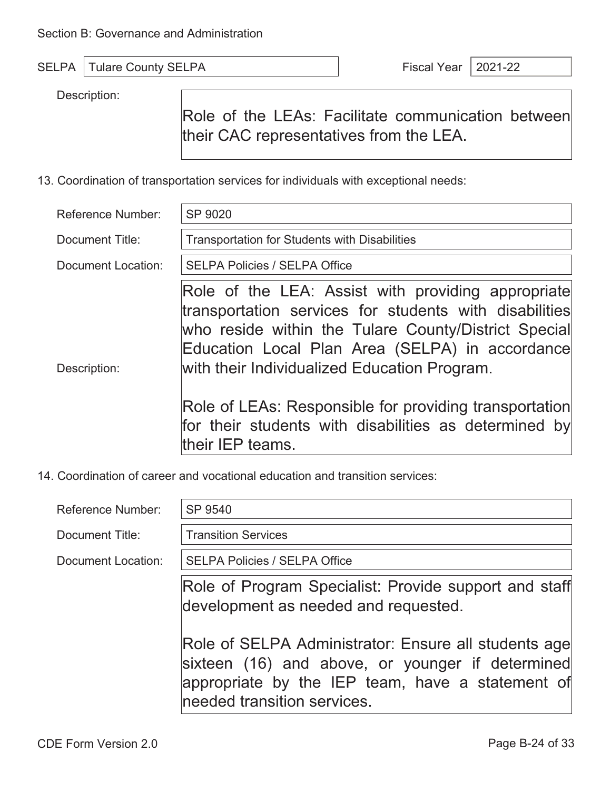| <b>SELPA</b> | SEI PA<br>$\mathbb{F}$ Tubers find<br>julare County S<br>וחר | Fissa<br>$\sim$ $\sim$ | $1 - 22$<br>2024 |
|--------------|--------------------------------------------------------------|------------------------|------------------|
|              |                                                              |                        |                  |

Description:

Role of the LEAs: Facilitate communication between their CAC representatives from the LEA.

13. Coordination of transportation services for individuals with exceptional needs:

| Reference Number:  | SP 9020                                                                                                                                                                                                                                                                 |  |  |
|--------------------|-------------------------------------------------------------------------------------------------------------------------------------------------------------------------------------------------------------------------------------------------------------------------|--|--|
| Document Title:    | <b>Transportation for Students with Disabilities</b>                                                                                                                                                                                                                    |  |  |
| Document Location: | <b>SELPA Policies / SELPA Office</b>                                                                                                                                                                                                                                    |  |  |
| Description:       | Role of the LEA: Assist with providing appropriate<br>transportation services for students with disabilities<br>who reside within the Tulare County/District Special<br>Education Local Plan Area (SELPA) in accordance<br>with their Individualized Education Program. |  |  |
|                    | Role of LEAs: Responsible for providing transportation<br>for their students with disabilities as determined by<br>ltheir IEP teams.                                                                                                                                    |  |  |

14. Coordination of career and vocational education and transition services:

| <b>Reference Number:</b> | SP 9540                                                                                                                                                                                     |
|--------------------------|---------------------------------------------------------------------------------------------------------------------------------------------------------------------------------------------|
| Document Title:          | <b>Transition Services</b>                                                                                                                                                                  |
| Document Location:       | <b>SELPA Policies / SELPA Office</b>                                                                                                                                                        |
|                          | Role of Program Specialist: Provide support and staff<br>development as needed and requested.                                                                                               |
|                          | Role of SELPA Administrator: Ensure all students age<br>sixteen (16) and above, or younger if determined<br>appropriate by the IEP team, have a statement of<br>needed transition services. |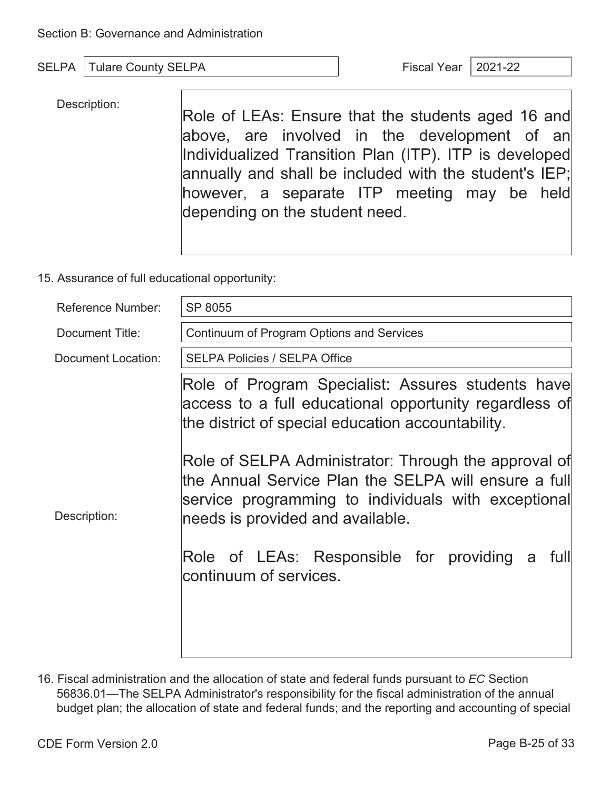Description:

Role of LEAs: Ensure that the students aged 16 and above, are involved in the development of an Individualized Transition Plan (ITP). ITP is developed annually and shall be included with the student's IEP; however, a separate ITP meeting may be held depending on the student need.

15. Assurance of full educational opportunity:

| <b>Reference Number:</b> | SP 8055                                                                                                                                                                                                                                                                                                                                                                     |  |  |
|--------------------------|-----------------------------------------------------------------------------------------------------------------------------------------------------------------------------------------------------------------------------------------------------------------------------------------------------------------------------------------------------------------------------|--|--|
| Document Title:          | Continuum of Program Options and Services                                                                                                                                                                                                                                                                                                                                   |  |  |
| Document Location:       | <b>SELPA Policies / SELPA Office</b>                                                                                                                                                                                                                                                                                                                                        |  |  |
| Description:             | Role of Program Specialist: Assures students have<br>access to a full educational opportunity regardless of<br>the district of special education accountability.<br>Role of SELPA Administrator: Through the approval of<br>the Annual Service Plan the SELPA will ensure a full<br>service programming to individuals with exceptional<br>needs is provided and available. |  |  |
|                          | Role of LEAs: Responsible for providing<br>full<br>a<br>continuum of services.                                                                                                                                                                                                                                                                                              |  |  |
|                          |                                                                                                                                                                                                                                                                                                                                                                             |  |  |

16. Fiscal administration and the allocation of state and federal funds pursuant to *EC* Section 56836.01—The SELPA Administrator's responsibility for the fiscal administration of the annual budget plan; the allocation of state and federal funds; and the reporting and accounting of special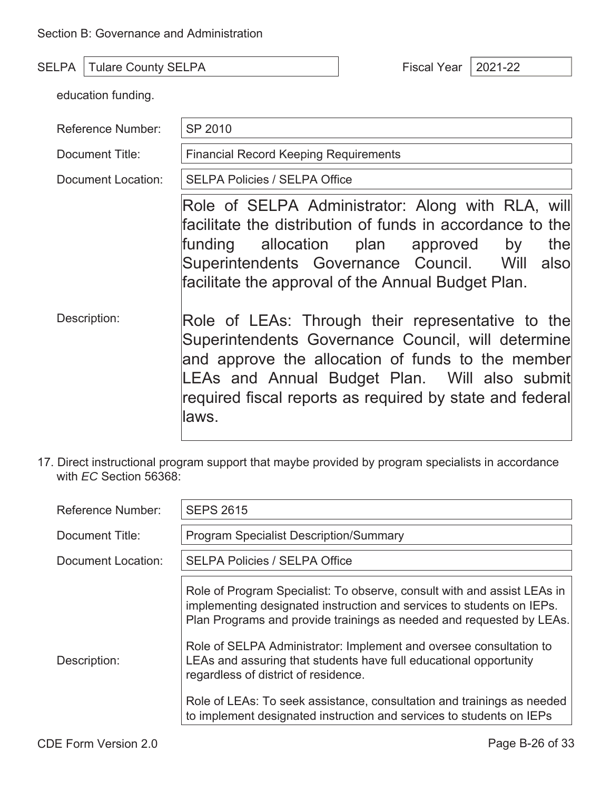| SELPA | Tulare County SELPA | <b>Fiscal Year</b> | $ 2021-22$ |
|-------|---------------------|--------------------|------------|
|-------|---------------------|--------------------|------------|

education funding.

| <b>Reference Number:</b> | SP 2010                                                                                                                                                                                                                                                                            |  |  |  |
|--------------------------|------------------------------------------------------------------------------------------------------------------------------------------------------------------------------------------------------------------------------------------------------------------------------------|--|--|--|
| Document Title:          | <b>Financial Record Keeping Requirements</b>                                                                                                                                                                                                                                       |  |  |  |
| Document Location:       | <b>SELPA Policies / SELPA Office</b>                                                                                                                                                                                                                                               |  |  |  |
|                          | Role of SELPA Administrator: Along with RLA, will<br>facilitate the distribution of funds in accordance to the<br>the<br>funding allocation plan approved<br>by<br>Superintendents Governance Council. Will<br>alsol<br>facilitate the approval of the Annual Budget Plan.         |  |  |  |
| Description:             | Role of LEAs: Through their representative to the<br>Superintendents Governance Council, will determine<br>and approve the allocation of funds to the member<br>LEAs and Annual Budget Plan. Will also submit<br>required fiscal reports as required by state and federal<br>laws. |  |  |  |

17. Direct instructional program support that maybe provided by program specialists in accordance with *EC* Section 56368:

| <b>Reference Number:</b>                                         | <b>SEPS 2615</b>                                                                                                                                                                                                                                                                                                                                                                                                                                                                                                                                              |  |  |
|------------------------------------------------------------------|---------------------------------------------------------------------------------------------------------------------------------------------------------------------------------------------------------------------------------------------------------------------------------------------------------------------------------------------------------------------------------------------------------------------------------------------------------------------------------------------------------------------------------------------------------------|--|--|
| <b>Program Specialist Description/Summary</b><br>Document Title: |                                                                                                                                                                                                                                                                                                                                                                                                                                                                                                                                                               |  |  |
| Document Location:                                               | <b>SELPA Policies / SELPA Office</b>                                                                                                                                                                                                                                                                                                                                                                                                                                                                                                                          |  |  |
| Description:                                                     | Role of Program Specialist: To observe, consult with and assist LEAs in<br>implementing designated instruction and services to students on IEPs.<br>Plan Programs and provide trainings as needed and requested by LEAs.<br>Role of SELPA Administrator: Implement and oversee consultation to<br>LEAs and assuring that students have full educational opportunity<br>regardless of district of residence.<br>Role of LEAs: To seek assistance, consultation and trainings as needed<br>to implement designated instruction and services to students on IEPs |  |  |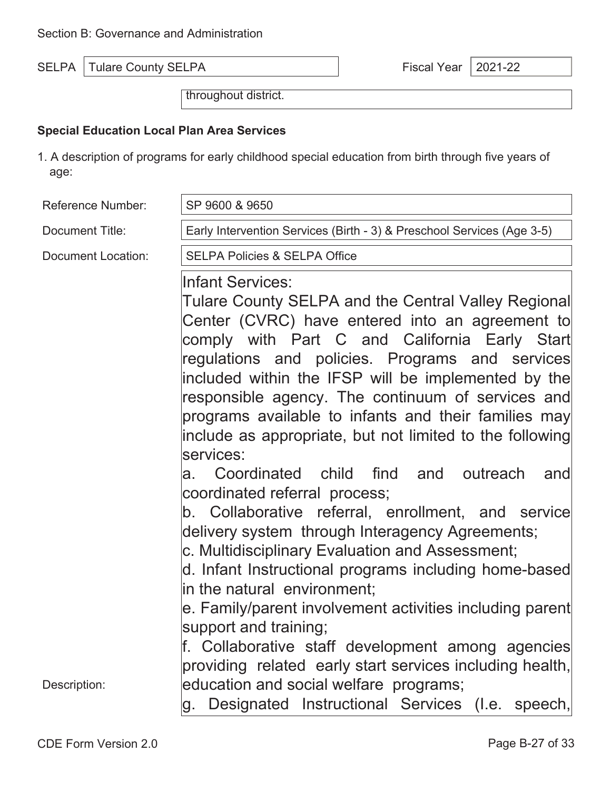| <b>SELPA</b> | <sup>1</sup> Tulare County SELPA | Fiscal<br>$^{\vee}$ ear   $\overline{\phantom{a}}$ | $ 2021-22$ |  |
|--------------|----------------------------------|----------------------------------------------------|------------|--|
|              |                                  |                                                    |            |  |

throughout district.

### **Special Education Local Plan Area Services**

1. A description of programs for early childhood special education from birth through five years of age:

| <b>Reference Number:</b>                                                                  | SP 9600 & 9650                                                                                                                                                                                                                                                                                                                                                                                                                                                                                                                                                                                                                                                                                                                                                                                                                                                                                                                                                                                                                                                    |  |  |
|-------------------------------------------------------------------------------------------|-------------------------------------------------------------------------------------------------------------------------------------------------------------------------------------------------------------------------------------------------------------------------------------------------------------------------------------------------------------------------------------------------------------------------------------------------------------------------------------------------------------------------------------------------------------------------------------------------------------------------------------------------------------------------------------------------------------------------------------------------------------------------------------------------------------------------------------------------------------------------------------------------------------------------------------------------------------------------------------------------------------------------------------------------------------------|--|--|
| Early Intervention Services (Birth - 3) & Preschool Services (Age 3-5)<br>Document Title: |                                                                                                                                                                                                                                                                                                                                                                                                                                                                                                                                                                                                                                                                                                                                                                                                                                                                                                                                                                                                                                                                   |  |  |
| <b>Document Location:</b>                                                                 | <b>SELPA Policies &amp; SELPA Office</b>                                                                                                                                                                                                                                                                                                                                                                                                                                                                                                                                                                                                                                                                                                                                                                                                                                                                                                                                                                                                                          |  |  |
| Description:                                                                              | Infant Services:<br>Tulare County SELPA and the Central Valley Regional<br>Center (CVRC) have entered into an agreement to<br>comply with Part C and California Early Start<br>regulations and policies. Programs and services<br>included within the IFSP will be implemented by the<br>responsible agency. The continuum of services and<br>programs available to infants and their families may<br>include as appropriate, but not limited to the following<br>services:<br>a. Coordinated child find and outreach<br>and<br>coordinated referral process;<br>b. Collaborative referral, enrollment, and service<br>delivery system through Interagency Agreements;<br>c. Multidisciplinary Evaluation and Assessment;<br>d. Infant Instructional programs including home-based<br>in the natural environment;<br>e. Family/parent involvement activities including parent<br>support and training;<br>f. Collaborative staff development among agencies<br>providing related early start services including health,<br>education and social welfare programs; |  |  |
|                                                                                           | Designated Instructional Services (I.e. speech,<br>g.                                                                                                                                                                                                                                                                                                                                                                                                                                                                                                                                                                                                                                                                                                                                                                                                                                                                                                                                                                                                             |  |  |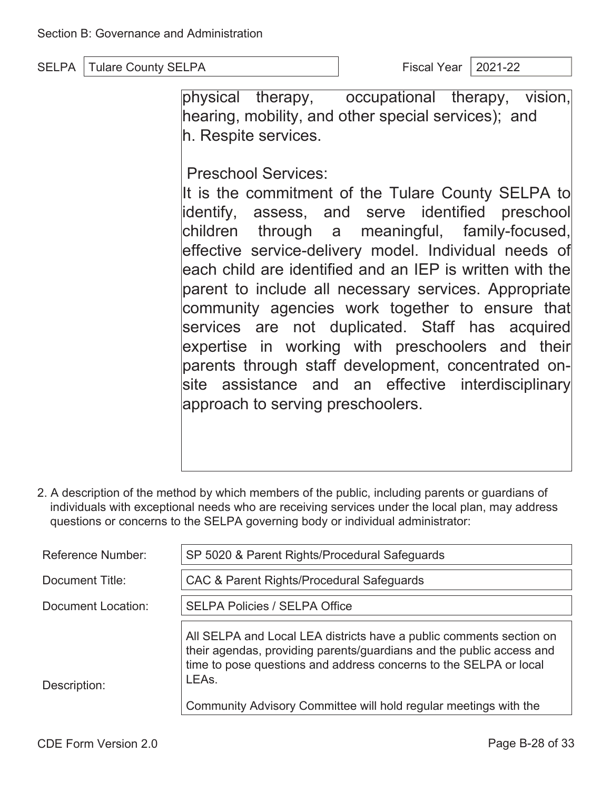physical therapy, occupational therapy, vision, hearing, mobility, and other special services); and h. Respite services.

Preschool Services:

It is the commitment of the Tulare County SELPA to identify, assess, and serve identified preschool children through a meaningful, family-focused, effective service-delivery model. Individual needs of each child are identified and an IEP is written with the parent to include all necessary services. Appropriate community agencies work together to ensure that services are not duplicated. Staff has acquired expertise in working with preschoolers and their parents through staff development, concentrated onsite assistance and an effective interdisciplinary approach to serving preschoolers.

2. A description of the method by which members of the public, including parents or guardians of individuals with exceptional needs who are receiving services under the local plan, may address questions or concerns to the SELPA governing body or individual administrator:

| Reference Number:  | SP 5020 & Parent Rights/Procedural Safeguards                                                                                                                                                                             |  |  |
|--------------------|---------------------------------------------------------------------------------------------------------------------------------------------------------------------------------------------------------------------------|--|--|
| Document Title:    | CAC & Parent Rights/Procedural Safeguards                                                                                                                                                                                 |  |  |
| Document Location: | <b>SELPA Policies / SELPA Office</b>                                                                                                                                                                                      |  |  |
| Description:       | All SELPA and Local LEA districts have a public comments section on<br>their agendas, providing parents/guardians and the public access and<br>time to pose questions and address concerns to the SELPA or local<br>LEAs. |  |  |
|                    | Community Advisory Committee will hold regular meetings with the                                                                                                                                                          |  |  |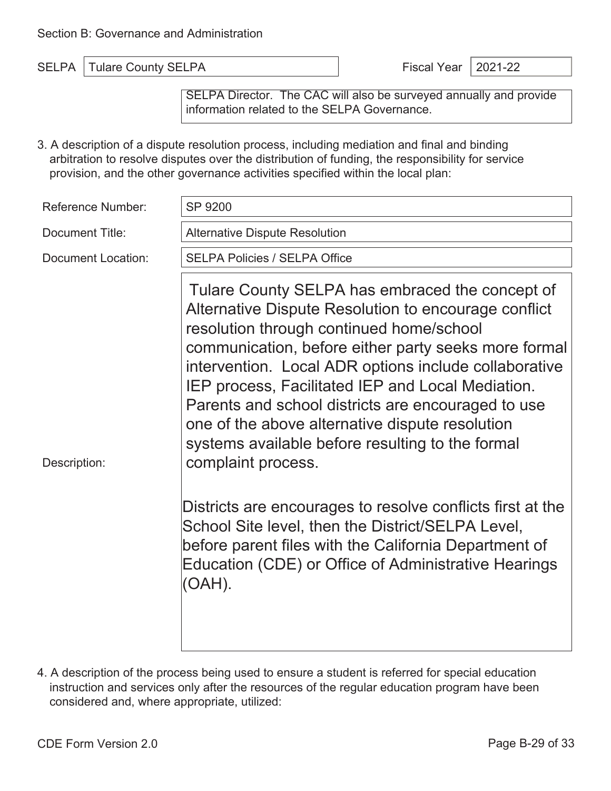SELPA Tulare County SELPA Fiscal Year 2021-22

SELPA Director. The CAC will also be surveyed annually and provide information related to the SELPA Governance.

3. A description of a dispute resolution process, including mediation and final and binding arbitration to resolve disputes over the distribution of funding, the responsibility for service provision, and the other governance activities specified within the local plan:

| <b>Reference Number:</b>  | SP 9200                                                                                                                                                                                                                                                                                                                                                                                                                                                                                                      |  |  |
|---------------------------|--------------------------------------------------------------------------------------------------------------------------------------------------------------------------------------------------------------------------------------------------------------------------------------------------------------------------------------------------------------------------------------------------------------------------------------------------------------------------------------------------------------|--|--|
| Document Title:           | <b>Alternative Dispute Resolution</b>                                                                                                                                                                                                                                                                                                                                                                                                                                                                        |  |  |
| <b>Document Location:</b> | <b>SELPA Policies / SELPA Office</b>                                                                                                                                                                                                                                                                                                                                                                                                                                                                         |  |  |
| Description:              | Tulare County SELPA has embraced the concept of<br>Alternative Dispute Resolution to encourage conflict<br>resolution through continued home/school<br>communication, before either party seeks more formal<br>intervention. Local ADR options include collaborative<br>IEP process, Facilitated IEP and Local Mediation.<br>Parents and school districts are encouraged to use<br>one of the above alternative dispute resolution<br>systems available before resulting to the formal<br>complaint process. |  |  |
|                           | Districts are encourages to resolve conflicts first at the<br>School Site level, then the District/SELPA Level,<br>before parent files with the California Department of<br>Education (CDE) or Office of Administrative Hearings<br>(OAH).                                                                                                                                                                                                                                                                   |  |  |

4. A description of the process being used to ensure a student is referred for special education instruction and services only after the resources of the regular education program have been considered and, where appropriate, utilized: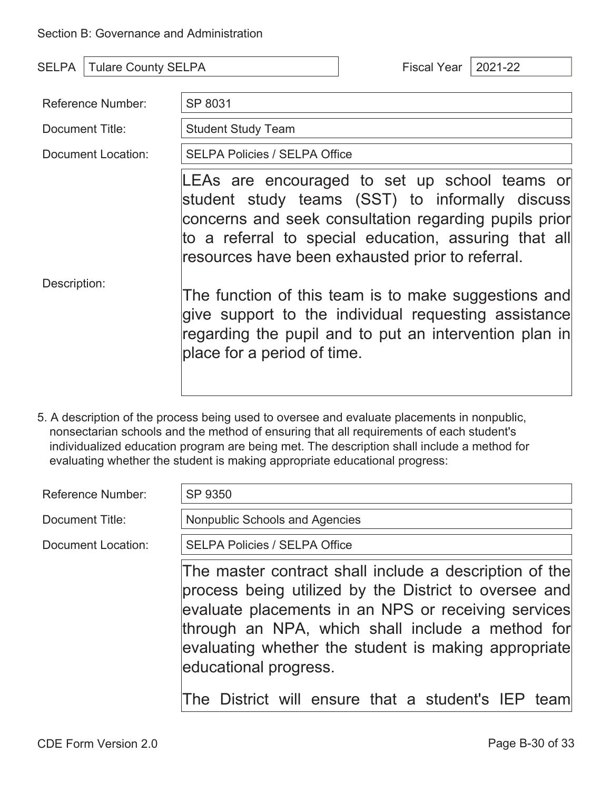| SELPA<br><b>Tulare County SELPA</b> |                                                                                                                                                                                                                                                                                                                                                                                                                                                                                 | <b>Fiscal Year</b> | 2021-22 |
|-------------------------------------|---------------------------------------------------------------------------------------------------------------------------------------------------------------------------------------------------------------------------------------------------------------------------------------------------------------------------------------------------------------------------------------------------------------------------------------------------------------------------------|--------------------|---------|
| <b>Reference Number:</b>            | SP 8031                                                                                                                                                                                                                                                                                                                                                                                                                                                                         |                    |         |
| Document Title:                     | <b>Student Study Team</b>                                                                                                                                                                                                                                                                                                                                                                                                                                                       |                    |         |
| Document Location:                  | <b>SELPA Policies / SELPA Office</b>                                                                                                                                                                                                                                                                                                                                                                                                                                            |                    |         |
| Description:                        | LEAs are encouraged to set up school teams or<br>student study teams (SST) to informally discuss<br>concerns and seek consultation regarding pupils prior<br>to a referral to special education, assuring that all<br>resources have been exhausted prior to referral.<br>The function of this team is to make suggestions and<br>give support to the individual requesting assistance<br>regarding the pupil and to put an intervention plan in<br>place for a period of time. |                    |         |

5. A description of the process being used to oversee and evaluate placements in nonpublic, nonsectarian schools and the method of ensuring that all requirements of each student's individualized education program are being met. The description shall include a method for evaluating whether the student is making appropriate educational progress:

| <b>Reference Number:</b> | SP 9350                                                                                                                                                                                                                                                                                                                                                           |
|--------------------------|-------------------------------------------------------------------------------------------------------------------------------------------------------------------------------------------------------------------------------------------------------------------------------------------------------------------------------------------------------------------|
| Document Title:          | Nonpublic Schools and Agencies                                                                                                                                                                                                                                                                                                                                    |
| Document Location:       | <b>SELPA Policies / SELPA Office</b>                                                                                                                                                                                                                                                                                                                              |
|                          | The master contract shall include a description of the<br>process being utilized by the District to oversee and<br>evaluate placements in an NPS or receiving services<br>through an NPA, which shall include a method for<br>evaluating whether the student is making appropriate<br>educational progress.<br>The District will ensure that a student's IEP team |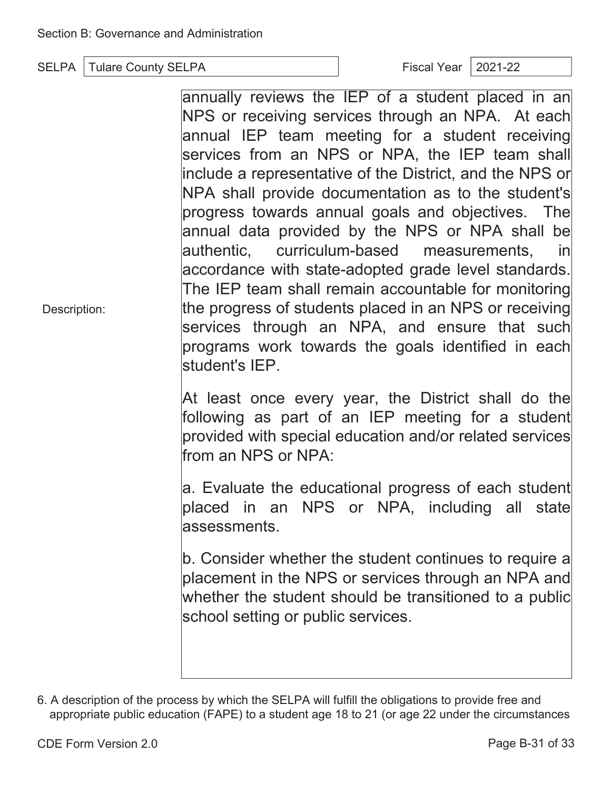Description:

SELPA Tulare County SELPA Fiscal Year 2021-22

annually reviews the IEP of a student placed in an NPS or receiving services through an NPA. At each annual IEP team meeting for a student receiving services from an NPS or NPA, the IEP team shall include a representative of the District, and the NPS or NPA shall provide documentation as to the student's progress towards annual goals and objectives. The annual data provided by the NPS or NPA shall be authentic, curriculum-based measurements, in accordance with state-adopted grade level standards. The IEP team shall remain accountable for monitoring the progress of students placed in an NPS or receiving services through an NPA, and ensure that such programs work towards the goals identified in each student's IEP.

At least once every year, the District shall do the following as part of an IEP meeting for a student provided with special education and/or related services from an NPS or NPA:

a. Evaluate the educational progress of each student placed in an NPS or NPA, including all state assessments.

b. Consider whether the student continues to require a placement in the NPS or services through an NPA and whether the student should be transitioned to a public school setting or public services.

<sup>6.</sup> A description of the process by which the SELPA will fulfill the obligations to provide free and appropriate public education (FAPE) to a student age 18 to 21 (or age 22 under the circumstances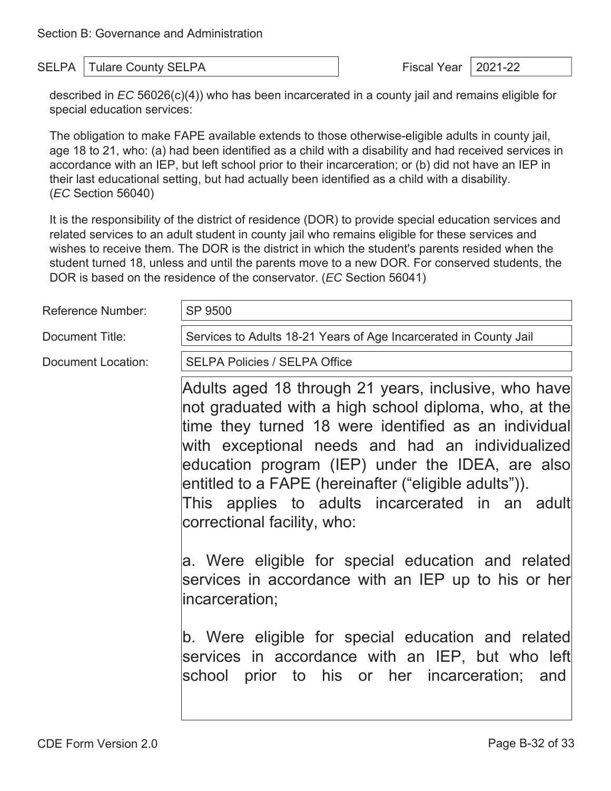SELPA | Tulare County SELPA  $\vert$  Fiscal Year | 2021-22

described in *EC* 56026(c)(4)) who has been incarcerated in a county jail and remains eligible for special education services:

The obligation to make FAPE available extends to those otherwise-eligible adults in county jail, age 18 to 21, who: (a) had been identified as a child with a disability and had received services in accordance with an IEP, but left school prior to their incarceration; or (b) did not have an IEP in their last educational setting, but had actually been identified as a child with a disability. (*EC* Section 56040)

It is the responsibility of the district of residence (DOR) to provide special education services and related services to an adult student in county jail who remains eligible for these services and wishes to receive them. The DOR is the district in which the student's parents resided when the student turned 18, unless and until the parents move to a new DOR. For conserved students, the DOR is based on the residence of the conservator. (*EC* Section 56041)

| <b>Reference Number:</b>  | SP 9500                                                                                                                                                                                                                                                                                                                                                                                                                  |
|---------------------------|--------------------------------------------------------------------------------------------------------------------------------------------------------------------------------------------------------------------------------------------------------------------------------------------------------------------------------------------------------------------------------------------------------------------------|
| Document Title:           | Services to Adults 18-21 Years of Age Incarcerated in County Jail                                                                                                                                                                                                                                                                                                                                                        |
| <b>Document Location:</b> | <b>SELPA Policies / SELPA Office</b>                                                                                                                                                                                                                                                                                                                                                                                     |
|                           | Adults aged 18 through 21 years, inclusive, who have<br>not graduated with a high school diploma, who, at the<br>time they turned 18 were identified as an individual<br>with exceptional needs and had an individualized<br>education program (IEP) under the IDEA, are also<br>entitled to a FAPE (hereinafter ("eligible adults")).<br>This applies to adults incarcerated in an adult<br>correctional facility, who: |
|                           | a. Were eligible for special education and related<br>services in accordance with an IEP up to his or her<br> incarceration;                                                                                                                                                                                                                                                                                             |
|                           | b. Were eligible for special education and related<br>services in accordance with an IEP, but who left<br>school prior to his or her incarceration; and                                                                                                                                                                                                                                                                  |